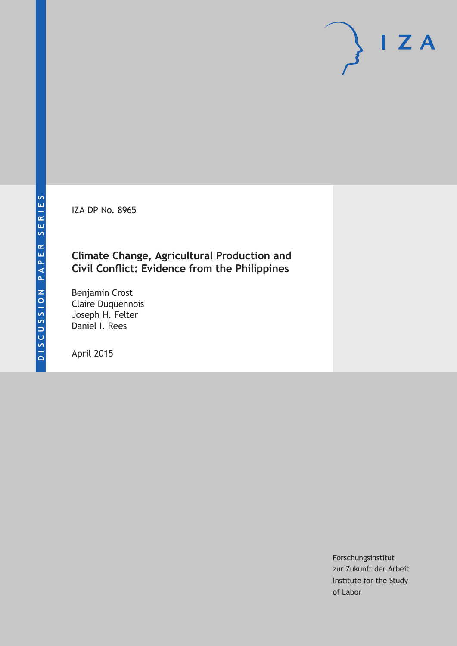IZA DP No. 8965

### **Climate Change, Agricultural Production and Civil Conflict: Evidence from the Philippines**

Benjamin Crost Claire Duquennois Joseph H. Felter Daniel I. Rees

April 2015

Forschungsinstitut zur Zukunft der Arbeit Institute for the Study of Labor

 $I Z A$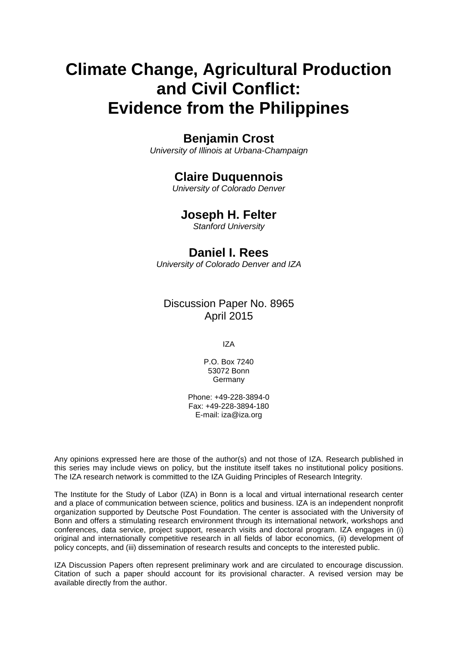# **Climate Change, Agricultural Production and Civil Conflict: Evidence from the Philippines**

# **Benjamin Crost**

*University of Illinois at Urbana-Champaign*

# **Claire Duquennois**

*University of Colorado Denver*

### **Joseph H. Felter**

*Stanford University*

## **Daniel I. Rees**

*University of Colorado Denver and IZA*

### Discussion Paper No. 8965 April 2015

IZA

P.O. Box 7240 53072 Bonn Germany

Phone: +49-228-3894-0 Fax: +49-228-3894-180 E-mail: iza@iza.org

Any opinions expressed here are those of the author(s) and not those of IZA. Research published in this series may include views on policy, but the institute itself takes no institutional policy positions. The IZA research network is committed to the IZA Guiding Principles of Research Integrity.

The Institute for the Study of Labor (IZA) in Bonn is a local and virtual international research center and a place of communication between science, politics and business. IZA is an independent nonprofit organization supported by Deutsche Post Foundation. The center is associated with the University of Bonn and offers a stimulating research environment through its international network, workshops and conferences, data service, project support, research visits and doctoral program. IZA engages in (i) original and internationally competitive research in all fields of labor economics, (ii) development of policy concepts, and (iii) dissemination of research results and concepts to the interested public.

IZA Discussion Papers often represent preliminary work and are circulated to encourage discussion. Citation of such a paper should account for its provisional character. A revised version may be available directly from the author.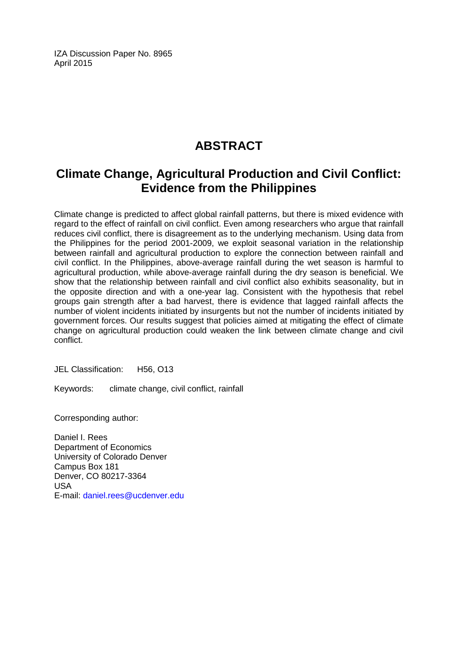IZA Discussion Paper No. 8965 April 2015

# **ABSTRACT**

# **Climate Change, Agricultural Production and Civil Conflict: Evidence from the Philippines**

Climate change is predicted to affect global rainfall patterns, but there is mixed evidence with regard to the effect of rainfall on civil conflict. Even among researchers who argue that rainfall reduces civil conflict, there is disagreement as to the underlying mechanism. Using data from the Philippines for the period 2001-2009, we exploit seasonal variation in the relationship between rainfall and agricultural production to explore the connection between rainfall and civil conflict. In the Philippines, above-average rainfall during the wet season is harmful to agricultural production, while above-average rainfall during the dry season is beneficial. We show that the relationship between rainfall and civil conflict also exhibits seasonality, but in the opposite direction and with a one-year lag. Consistent with the hypothesis that rebel groups gain strength after a bad harvest, there is evidence that lagged rainfall affects the number of violent incidents initiated by insurgents but not the number of incidents initiated by government forces. Our results suggest that policies aimed at mitigating the effect of climate change on agricultural production could weaken the link between climate change and civil conflict.

JEL Classification: H56, O13

Keywords: climate change, civil conflict, rainfall

Corresponding author:

Daniel I. Rees Department of Economics University of Colorado Denver Campus Box 181 Denver, CO 80217-3364 USA E-mail: [daniel.rees@ucdenver.edu](mailto:daniel.rees@ucdenver.edu)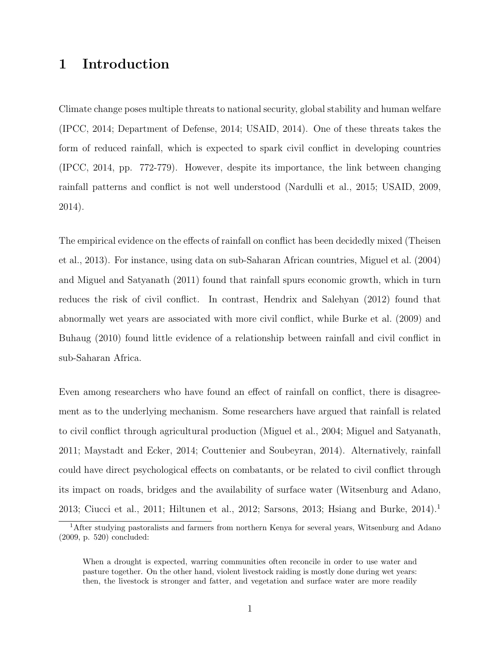# 1 Introduction

Climate change poses multiple threats to national security, global stability and human welfare (IPCC, 2014; Department of Defense, 2014; USAID, 2014). One of these threats takes the form of reduced rainfall, which is expected to spark civil conflict in developing countries (IPCC, 2014, pp. 772-779). However, despite its importance, the link between changing rainfall patterns and conflict is not well understood (Nardulli et al., 2015; USAID, 2009, 2014).

The empirical evidence on the effects of rainfall on conflict has been decidedly mixed (Theisen et al., 2013). For instance, using data on sub-Saharan African countries, Miguel et al. (2004) and Miguel and Satyanath (2011) found that rainfall spurs economic growth, which in turn reduces the risk of civil conflict. In contrast, Hendrix and Salehyan (2012) found that abnormally wet years are associated with more civil conflict, while Burke et al. (2009) and Buhaug (2010) found little evidence of a relationship between rainfall and civil conflict in sub-Saharan Africa.

Even among researchers who have found an effect of rainfall on conflict, there is disagreement as to the underlying mechanism. Some researchers have argued that rainfall is related to civil conflict through agricultural production (Miguel et al., 2004; Miguel and Satyanath, 2011; Maystadt and Ecker, 2014; Couttenier and Soubeyran, 2014). Alternatively, rainfall could have direct psychological effects on combatants, or be related to civil conflict through its impact on roads, bridges and the availability of surface water (Witsenburg and Adano, 2013; Ciucci et al., 2011; Hiltunen et al., 2012; Sarsons, 2013; Hsiang and Burke, 2014).<sup>1</sup>

<sup>&</sup>lt;sup>1</sup>After studying pastoralists and farmers from northern Kenya for several years, Witsenburg and Adano (2009, p. 520) concluded:

When a drought is expected, warring communities often reconcile in order to use water and pasture together. On the other hand, violent livestock raiding is mostly done during wet years: then, the livestock is stronger and fatter, and vegetation and surface water are more readily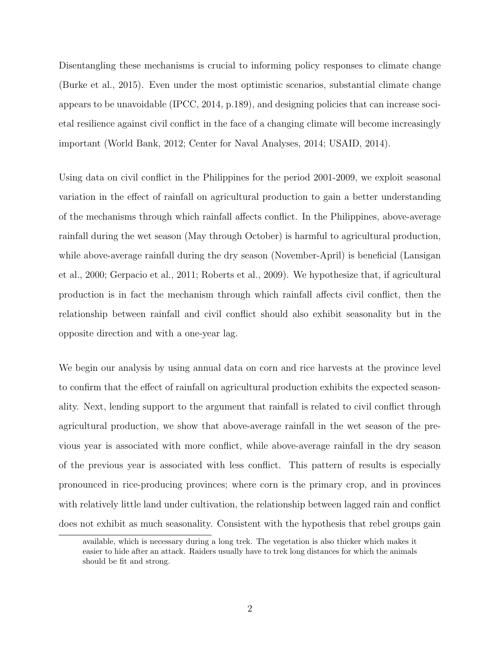Disentangling these mechanisms is crucial to informing policy responses to climate change (Burke et al., 2015). Even under the most optimistic scenarios, substantial climate change appears to be unavoidable (IPCC, 2014, p.189), and designing policies that can increase societal resilience against civil conflict in the face of a changing climate will become increasingly important (World Bank, 2012; Center for Naval Analyses, 2014; USAID, 2014).

Using data on civil conflict in the Philippines for the period 2001-2009, we exploit seasonal variation in the effect of rainfall on agricultural production to gain a better understanding of the mechanisms through which rainfall affects conflict. In the Philippines, above-average rainfall during the wet season (May through October) is harmful to agricultural production, while above-average rainfall during the dry season (November-April) is beneficial (Lansigan et al., 2000; Gerpacio et al., 2011; Roberts et al., 2009). We hypothesize that, if agricultural production is in fact the mechanism through which rainfall affects civil conflict, then the relationship between rainfall and civil conflict should also exhibit seasonality but in the opposite direction and with a one-year lag.

We begin our analysis by using annual data on corn and rice harvests at the province level to confirm that the effect of rainfall on agricultural production exhibits the expected seasonality. Next, lending support to the argument that rainfall is related to civil conflict through agricultural production, we show that above-average rainfall in the wet season of the previous year is associated with more conflict, while above-average rainfall in the dry season of the previous year is associated with less conflict. This pattern of results is especially pronounced in rice-producing provinces; where corn is the primary crop, and in provinces with relatively little land under cultivation, the relationship between lagged rain and conflict does not exhibit as much seasonality. Consistent with the hypothesis that rebel groups gain

available, which is necessary during a long trek. The vegetation is also thicker which makes it easier to hide after an attack. Raiders usually have to trek long distances for which the animals should be fit and strong.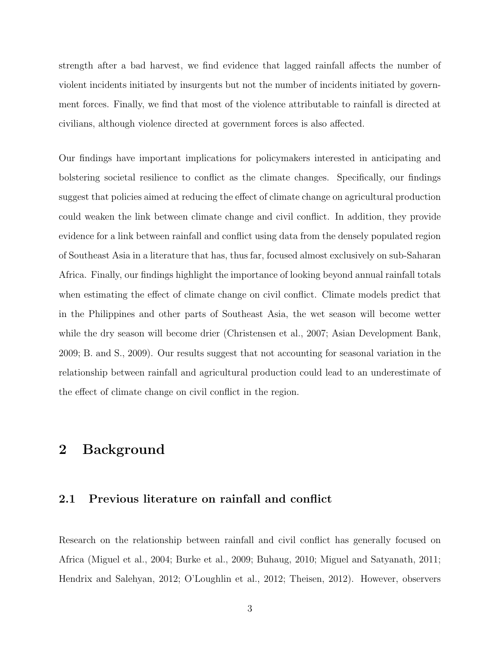strength after a bad harvest, we find evidence that lagged rainfall affects the number of violent incidents initiated by insurgents but not the number of incidents initiated by government forces. Finally, we find that most of the violence attributable to rainfall is directed at civilians, although violence directed at government forces is also affected.

Our findings have important implications for policymakers interested in anticipating and bolstering societal resilience to conflict as the climate changes. Specifically, our findings suggest that policies aimed at reducing the effect of climate change on agricultural production could weaken the link between climate change and civil conflict. In addition, they provide evidence for a link between rainfall and conflict using data from the densely populated region of Southeast Asia in a literature that has, thus far, focused almost exclusively on sub-Saharan Africa. Finally, our findings highlight the importance of looking beyond annual rainfall totals when estimating the effect of climate change on civil conflict. Climate models predict that in the Philippines and other parts of Southeast Asia, the wet season will become wetter while the dry season will become drier (Christensen et al., 2007; Asian Development Bank, 2009; B. and S., 2009). Our results suggest that not accounting for seasonal variation in the relationship between rainfall and agricultural production could lead to an underestimate of the effect of climate change on civil conflict in the region.

### 2 Background

#### 2.1 Previous literature on rainfall and conflict

Research on the relationship between rainfall and civil conflict has generally focused on Africa (Miguel et al., 2004; Burke et al., 2009; Buhaug, 2010; Miguel and Satyanath, 2011; Hendrix and Salehyan, 2012; O'Loughlin et al., 2012; Theisen, 2012). However, observers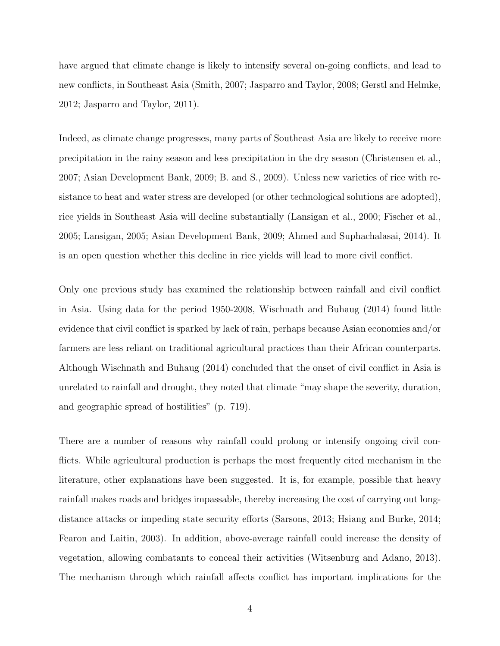have argued that climate change is likely to intensify several on-going conflicts, and lead to new conflicts, in Southeast Asia (Smith, 2007; Jasparro and Taylor, 2008; Gerstl and Helmke, 2012; Jasparro and Taylor, 2011).

Indeed, as climate change progresses, many parts of Southeast Asia are likely to receive more precipitation in the rainy season and less precipitation in the dry season (Christensen et al., 2007; Asian Development Bank, 2009; B. and S., 2009). Unless new varieties of rice with resistance to heat and water stress are developed (or other technological solutions are adopted), rice yields in Southeast Asia will decline substantially (Lansigan et al., 2000; Fischer et al., 2005; Lansigan, 2005; Asian Development Bank, 2009; Ahmed and Suphachalasai, 2014). It is an open question whether this decline in rice yields will lead to more civil conflict.

Only one previous study has examined the relationship between rainfall and civil conflict in Asia. Using data for the period 1950-2008, Wischnath and Buhaug (2014) found little evidence that civil conflict is sparked by lack of rain, perhaps because Asian economies and/or farmers are less reliant on traditional agricultural practices than their African counterparts. Although Wischnath and Buhaug (2014) concluded that the onset of civil conflict in Asia is unrelated to rainfall and drought, they noted that climate "may shape the severity, duration, and geographic spread of hostilities" (p. 719).

There are a number of reasons why rainfall could prolong or intensify ongoing civil conflicts. While agricultural production is perhaps the most frequently cited mechanism in the literature, other explanations have been suggested. It is, for example, possible that heavy rainfall makes roads and bridges impassable, thereby increasing the cost of carrying out longdistance attacks or impeding state security efforts (Sarsons, 2013; Hsiang and Burke, 2014; Fearon and Laitin, 2003). In addition, above-average rainfall could increase the density of vegetation, allowing combatants to conceal their activities (Witsenburg and Adano, 2013). The mechanism through which rainfall affects conflict has important implications for the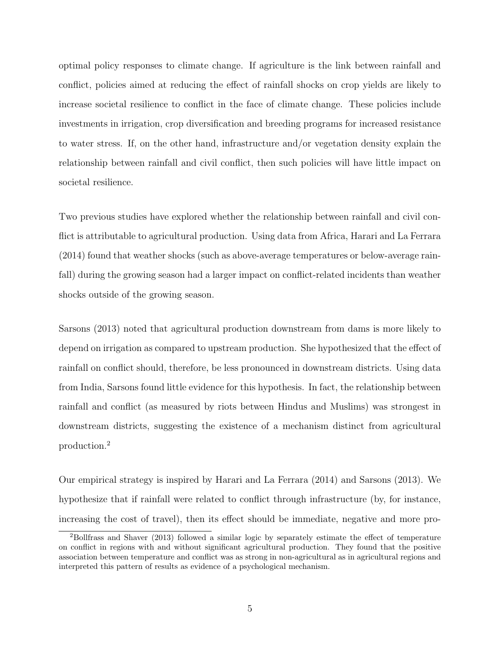optimal policy responses to climate change. If agriculture is the link between rainfall and conflict, policies aimed at reducing the effect of rainfall shocks on crop yields are likely to increase societal resilience to conflict in the face of climate change. These policies include investments in irrigation, crop diversification and breeding programs for increased resistance to water stress. If, on the other hand, infrastructure and/or vegetation density explain the relationship between rainfall and civil conflict, then such policies will have little impact on societal resilience.

Two previous studies have explored whether the relationship between rainfall and civil conflict is attributable to agricultural production. Using data from Africa, Harari and La Ferrara (2014) found that weather shocks (such as above-average temperatures or below-average rainfall) during the growing season had a larger impact on conflict-related incidents than weather shocks outside of the growing season.

Sarsons (2013) noted that agricultural production downstream from dams is more likely to depend on irrigation as compared to upstream production. She hypothesized that the effect of rainfall on conflict should, therefore, be less pronounced in downstream districts. Using data from India, Sarsons found little evidence for this hypothesis. In fact, the relationship between rainfall and conflict (as measured by riots between Hindus and Muslims) was strongest in downstream districts, suggesting the existence of a mechanism distinct from agricultural production.<sup>2</sup>

Our empirical strategy is inspired by Harari and La Ferrara (2014) and Sarsons (2013). We hypothesize that if rainfall were related to conflict through infrastructure (by, for instance, increasing the cost of travel), then its effect should be immediate, negative and more pro-

<sup>2</sup>Bollfrass and Shaver (2013) followed a similar logic by separately estimate the effect of temperature on conflict in regions with and without significant agricultural production. They found that the positive association between temperature and conflict was as strong in non-agricultural as in agricultural regions and interpreted this pattern of results as evidence of a psychological mechanism.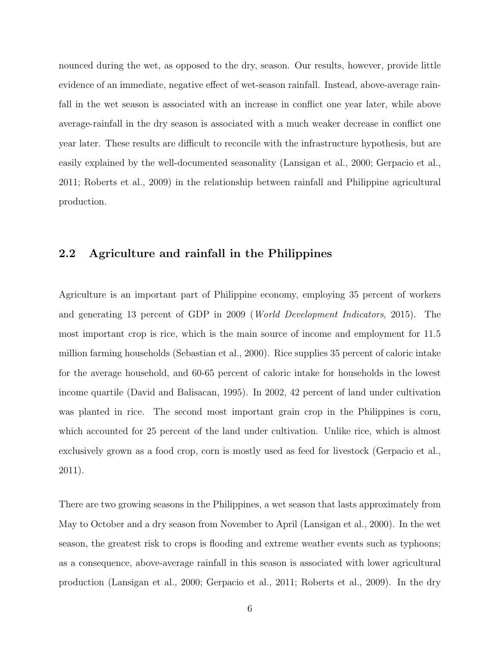nounced during the wet, as opposed to the dry, season. Our results, however, provide little evidence of an immediate, negative effect of wet-season rainfall. Instead, above-average rainfall in the wet season is associated with an increase in conflict one year later, while above average-rainfall in the dry season is associated with a much weaker decrease in conflict one year later. These results are difficult to reconcile with the infrastructure hypothesis, but are easily explained by the well-documented seasonality (Lansigan et al., 2000; Gerpacio et al., 2011; Roberts et al., 2009) in the relationship between rainfall and Philippine agricultural production.

#### 2.2 Agriculture and rainfall in the Philippines

Agriculture is an important part of Philippine economy, employing 35 percent of workers and generating 13 percent of GDP in 2009 (World Development Indicators, 2015). The most important crop is rice, which is the main source of income and employment for 11.5 million farming households (Sebastian et al., 2000). Rice supplies 35 percent of caloric intake for the average household, and 60-65 percent of caloric intake for households in the lowest income quartile (David and Balisacan, 1995). In 2002, 42 percent of land under cultivation was planted in rice. The second most important grain crop in the Philippines is corn, which accounted for 25 percent of the land under cultivation. Unlike rice, which is almost exclusively grown as a food crop, corn is mostly used as feed for livestock (Gerpacio et al., 2011).

There are two growing seasons in the Philippines, a wet season that lasts approximately from May to October and a dry season from November to April (Lansigan et al., 2000). In the wet season, the greatest risk to crops is flooding and extreme weather events such as typhoons; as a consequence, above-average rainfall in this season is associated with lower agricultural production (Lansigan et al., 2000; Gerpacio et al., 2011; Roberts et al., 2009). In the dry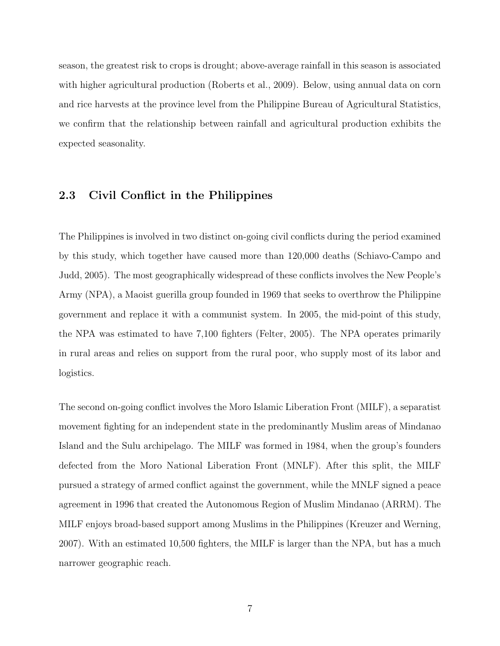season, the greatest risk to crops is drought; above-average rainfall in this season is associated with higher agricultural production (Roberts et al., 2009). Below, using annual data on corn and rice harvests at the province level from the Philippine Bureau of Agricultural Statistics, we confirm that the relationship between rainfall and agricultural production exhibits the expected seasonality.

#### 2.3 Civil Conflict in the Philippines

The Philippines is involved in two distinct on-going civil conflicts during the period examined by this study, which together have caused more than 120,000 deaths (Schiavo-Campo and Judd, 2005). The most geographically widespread of these conflicts involves the New People's Army (NPA), a Maoist guerilla group founded in 1969 that seeks to overthrow the Philippine government and replace it with a communist system. In 2005, the mid-point of this study, the NPA was estimated to have 7,100 fighters (Felter, 2005). The NPA operates primarily in rural areas and relies on support from the rural poor, who supply most of its labor and logistics.

The second on-going conflict involves the Moro Islamic Liberation Front (MILF), a separatist movement fighting for an independent state in the predominantly Muslim areas of Mindanao Island and the Sulu archipelago. The MILF was formed in 1984, when the group's founders defected from the Moro National Liberation Front (MNLF). After this split, the MILF pursued a strategy of armed conflict against the government, while the MNLF signed a peace agreement in 1996 that created the Autonomous Region of Muslim Mindanao (ARRM). The MILF enjoys broad-based support among Muslims in the Philippines (Kreuzer and Werning, 2007). With an estimated 10,500 fighters, the MILF is larger than the NPA, but has a much narrower geographic reach.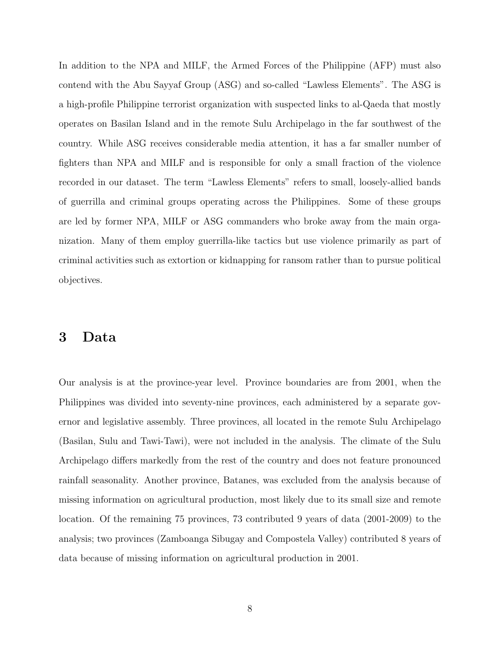In addition to the NPA and MILF, the Armed Forces of the Philippine (AFP) must also contend with the Abu Sayyaf Group (ASG) and so-called "Lawless Elements". The ASG is a high-profile Philippine terrorist organization with suspected links to al-Qaeda that mostly operates on Basilan Island and in the remote Sulu Archipelago in the far southwest of the country. While ASG receives considerable media attention, it has a far smaller number of fighters than NPA and MILF and is responsible for only a small fraction of the violence recorded in our dataset. The term "Lawless Elements" refers to small, loosely-allied bands of guerrilla and criminal groups operating across the Philippines. Some of these groups are led by former NPA, MILF or ASG commanders who broke away from the main organization. Many of them employ guerrilla-like tactics but use violence primarily as part of criminal activities such as extortion or kidnapping for ransom rather than to pursue political objectives.

### 3 Data

Our analysis is at the province-year level. Province boundaries are from 2001, when the Philippines was divided into seventy-nine provinces, each administered by a separate governor and legislative assembly. Three provinces, all located in the remote Sulu Archipelago (Basilan, Sulu and Tawi-Tawi), were not included in the analysis. The climate of the Sulu Archipelago differs markedly from the rest of the country and does not feature pronounced rainfall seasonality. Another province, Batanes, was excluded from the analysis because of missing information on agricultural production, most likely due to its small size and remote location. Of the remaining 75 provinces, 73 contributed 9 years of data (2001-2009) to the analysis; two provinces (Zamboanga Sibugay and Compostela Valley) contributed 8 years of data because of missing information on agricultural production in 2001.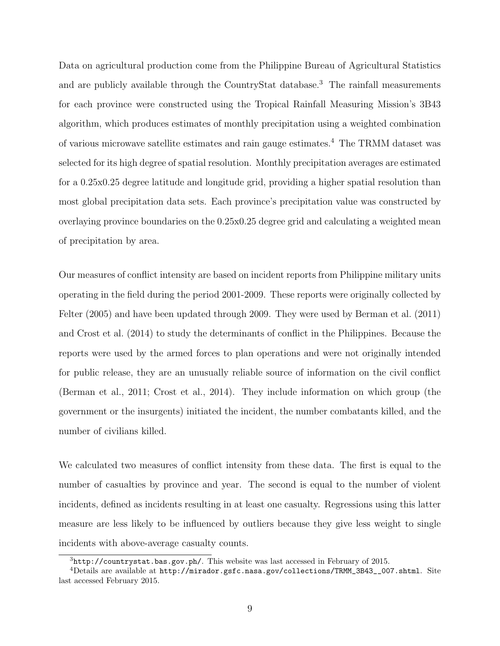Data on agricultural production come from the Philippine Bureau of Agricultural Statistics and are publicly available through the CountryStat database.<sup>3</sup> The rainfall measurements for each province were constructed using the Tropical Rainfall Measuring Mission's 3B43 algorithm, which produces estimates of monthly precipitation using a weighted combination of various microwave satellite estimates and rain gauge estimates.<sup>4</sup> The TRMM dataset was selected for its high degree of spatial resolution. Monthly precipitation averages are estimated for a 0.25x0.25 degree latitude and longitude grid, providing a higher spatial resolution than most global precipitation data sets. Each province's precipitation value was constructed by overlaying province boundaries on the 0.25x0.25 degree grid and calculating a weighted mean of precipitation by area.

Our measures of conflict intensity are based on incident reports from Philippine military units operating in the field during the period 2001-2009. These reports were originally collected by Felter (2005) and have been updated through 2009. They were used by Berman et al. (2011) and Crost et al. (2014) to study the determinants of conflict in the Philippines. Because the reports were used by the armed forces to plan operations and were not originally intended for public release, they are an unusually reliable source of information on the civil conflict (Berman et al., 2011; Crost et al., 2014). They include information on which group (the government or the insurgents) initiated the incident, the number combatants killed, and the number of civilians killed.

We calculated two measures of conflict intensity from these data. The first is equal to the number of casualties by province and year. The second is equal to the number of violent incidents, defined as incidents resulting in at least one casualty. Regressions using this latter measure are less likely to be influenced by outliers because they give less weight to single incidents with above-average casualty counts.

<sup>3</sup>http://countrystat.bas.gov.ph/. This website was last accessed in February of 2015.

 $4$ Details are available at http://mirador.gsfc.nasa.gov/collections/TRMM\_3B43\_\_007.shtml. Site last accessed February 2015.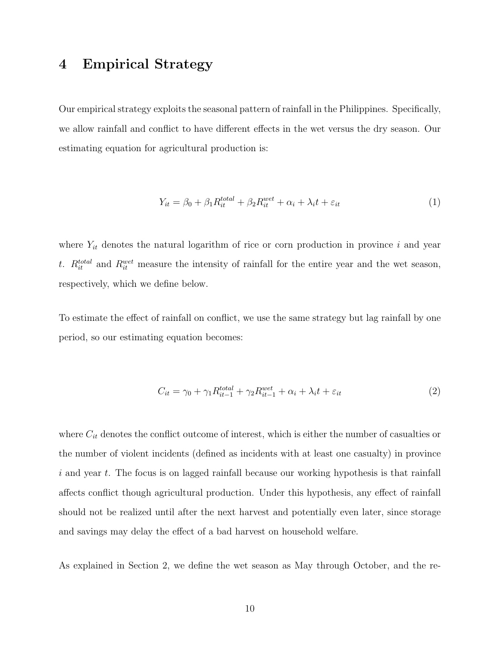# 4 Empirical Strategy

Our empirical strategy exploits the seasonal pattern of rainfall in the Philippines. Specifically, we allow rainfall and conflict to have different effects in the wet versus the dry season. Our estimating equation for agricultural production is:

$$
Y_{it} = \beta_0 + \beta_1 R_{it}^{total} + \beta_2 R_{it}^{wet} + \alpha_i + \lambda_i t + \varepsilon_{it}
$$
\n<sup>(1)</sup>

where  $Y_{it}$  denotes the natural logarithm of rice or corn production in province i and year t.  $R_{it}^{total}$  and  $R_{it}^{wet}$  measure the intensity of rainfall for the entire year and the wet season, respectively, which we define below.

To estimate the effect of rainfall on conflict, we use the same strategy but lag rainfall by one period, so our estimating equation becomes:

$$
C_{it} = \gamma_0 + \gamma_1 R_{it-1}^{total} + \gamma_2 R_{it-1}^{wet} + \alpha_i + \lambda_i t + \varepsilon_{it}
$$
\n
$$
\tag{2}
$$

where  $C_{it}$  denotes the conflict outcome of interest, which is either the number of casualties or the number of violent incidents (defined as incidents with at least one casualty) in province  $i$  and year  $t$ . The focus is on lagged rainfall because our working hypothesis is that rainfall affects conflict though agricultural production. Under this hypothesis, any effect of rainfall should not be realized until after the next harvest and potentially even later, since storage and savings may delay the effect of a bad harvest on household welfare.

As explained in Section 2, we define the wet season as May through October, and the re-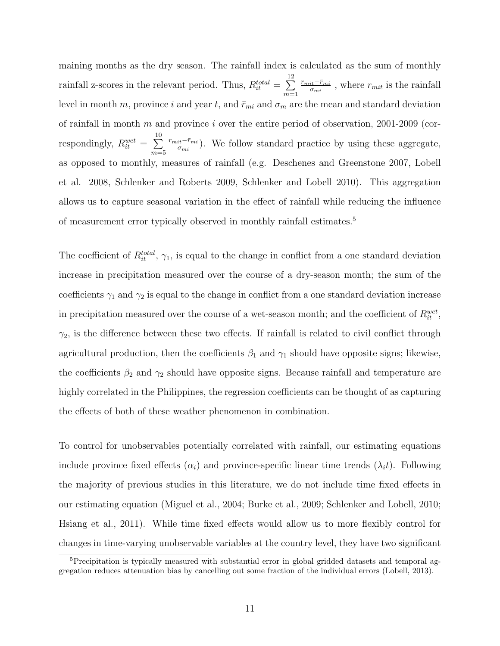maining months as the dry season. The rainfall index is calculated as the sum of monthly rainfall z-scores in the relevant period. Thus,  $R_{it}^{total} = \sum_{i=1}^{12}$  $m=1$  $r_{mit}$ − $\bar{r}_{mi}$  $\frac{i t^{-\bar{r}_{mi}}}{\sigma_{mi}}$ , where  $r_{mit}$  is the rainfall level in month m, province i and year t, and  $\bar{r}_{mi}$  and  $\sigma_m$  are the mean and standard deviation of rainfall in month m and province i over the entire period of observation, 2001-2009 (correspondingly,  $R_{it}^{wet} = \sum_{i=1}^{10}$  $m=5$  $r_{mit}$ − $\bar{r}_{mi}$  $\frac{i t^{-\bar{r}_{mi}}}{\sigma_{mi}}$ ). We follow standard practice by using these aggregate, as opposed to monthly, measures of rainfall (e.g. Deschenes and Greenstone 2007, Lobell et al. 2008, Schlenker and Roberts 2009, Schlenker and Lobell 2010). This aggregation allows us to capture seasonal variation in the effect of rainfall while reducing the influence of measurement error typically observed in monthly rainfall estimates.<sup>5</sup>

The coefficient of  $R_{it}^{total}$ ,  $\gamma_1$ , is equal to the change in conflict from a one standard deviation increase in precipitation measured over the course of a dry-season month; the sum of the coefficients  $\gamma_1$  and  $\gamma_2$  is equal to the change in conflict from a one standard deviation increase in precipitation measured over the course of a wet-season month; and the coefficient of  $R_{it}^{wet}$ ,  $\gamma_2$ , is the difference between these two effects. If rainfall is related to civil conflict through agricultural production, then the coefficients  $\beta_1$  and  $\gamma_1$  should have opposite signs; likewise, the coefficients  $\beta_2$  and  $\gamma_2$  should have opposite signs. Because rainfall and temperature are highly correlated in the Philippines, the regression coefficients can be thought of as capturing the effects of both of these weather phenomenon in combination.

To control for unobservables potentially correlated with rainfall, our estimating equations include province fixed effects  $(\alpha_i)$  and province-specific linear time trends  $(\lambda_i t)$ . Following the majority of previous studies in this literature, we do not include time fixed effects in our estimating equation (Miguel et al., 2004; Burke et al., 2009; Schlenker and Lobell, 2010; Hsiang et al., 2011). While time fixed effects would allow us to more flexibly control for changes in time-varying unobservable variables at the country level, they have two significant

<sup>5</sup>Precipitation is typically measured with substantial error in global gridded datasets and temporal aggregation reduces attenuation bias by cancelling out some fraction of the individual errors (Lobell, 2013).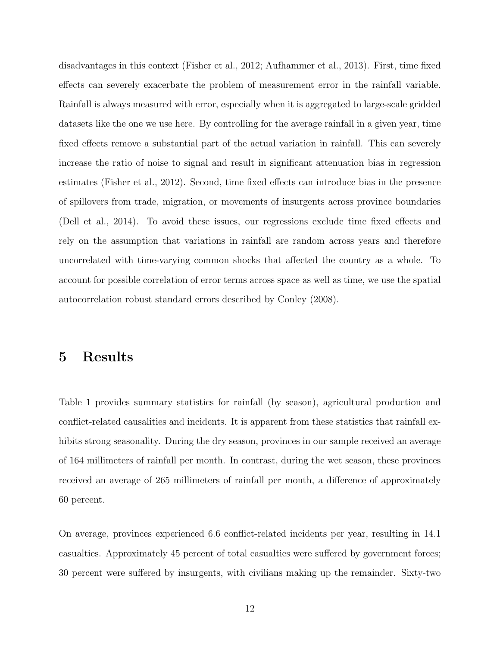disadvantages in this context (Fisher et al., 2012; Aufhammer et al., 2013). First, time fixed effects can severely exacerbate the problem of measurement error in the rainfall variable. Rainfall is always measured with error, especially when it is aggregated to large-scale gridded datasets like the one we use here. By controlling for the average rainfall in a given year, time fixed effects remove a substantial part of the actual variation in rainfall. This can severely increase the ratio of noise to signal and result in significant attenuation bias in regression estimates (Fisher et al., 2012). Second, time fixed effects can introduce bias in the presence of spillovers from trade, migration, or movements of insurgents across province boundaries (Dell et al., 2014). To avoid these issues, our regressions exclude time fixed effects and rely on the assumption that variations in rainfall are random across years and therefore uncorrelated with time-varying common shocks that affected the country as a whole. To account for possible correlation of error terms across space as well as time, we use the spatial autocorrelation robust standard errors described by Conley (2008).

### 5 Results

Table 1 provides summary statistics for rainfall (by season), agricultural production and conflict-related causalities and incidents. It is apparent from these statistics that rainfall exhibits strong seasonality. During the dry season, provinces in our sample received an average of 164 millimeters of rainfall per month. In contrast, during the wet season, these provinces received an average of 265 millimeters of rainfall per month, a difference of approximately 60 percent.

On average, provinces experienced 6.6 conflict-related incidents per year, resulting in 14.1 casualties. Approximately 45 percent of total casualties were suffered by government forces; 30 percent were suffered by insurgents, with civilians making up the remainder. Sixty-two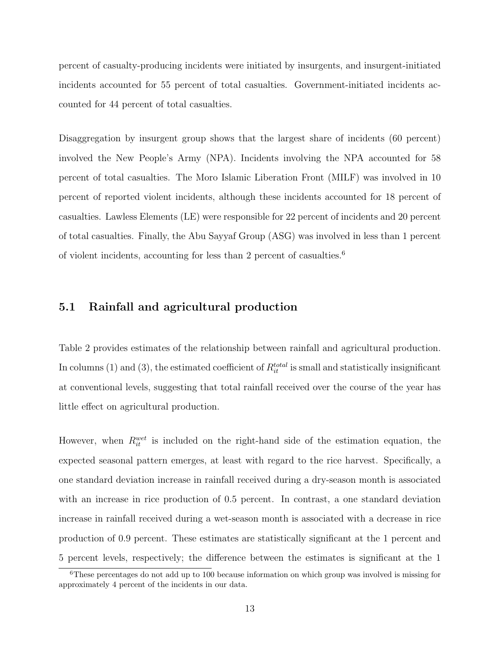percent of casualty-producing incidents were initiated by insurgents, and insurgent-initiated incidents accounted for 55 percent of total casualties. Government-initiated incidents accounted for 44 percent of total casualties.

Disaggregation by insurgent group shows that the largest share of incidents (60 percent) involved the New People's Army (NPA). Incidents involving the NPA accounted for 58 percent of total casualties. The Moro Islamic Liberation Front (MILF) was involved in 10 percent of reported violent incidents, although these incidents accounted for 18 percent of casualties. Lawless Elements (LE) were responsible for 22 percent of incidents and 20 percent of total casualties. Finally, the Abu Sayyaf Group (ASG) was involved in less than 1 percent of violent incidents, accounting for less than 2 percent of casualties.<sup>6</sup>

#### 5.1 Rainfall and agricultural production

Table 2 provides estimates of the relationship between rainfall and agricultural production. In columns (1) and (3), the estimated coefficient of  $R_{it}^{total}$  is small and statistically insignificant at conventional levels, suggesting that total rainfall received over the course of the year has little effect on agricultural production.

However, when  $R_{it}^{wet}$  is included on the right-hand side of the estimation equation, the expected seasonal pattern emerges, at least with regard to the rice harvest. Specifically, a one standard deviation increase in rainfall received during a dry-season month is associated with an increase in rice production of 0.5 percent. In contrast, a one standard deviation increase in rainfall received during a wet-season month is associated with a decrease in rice production of 0.9 percent. These estimates are statistically significant at the 1 percent and 5 percent levels, respectively; the difference between the estimates is significant at the 1

<sup>6</sup>These percentages do not add up to 100 because information on which group was involved is missing for approximately 4 percent of the incidents in our data.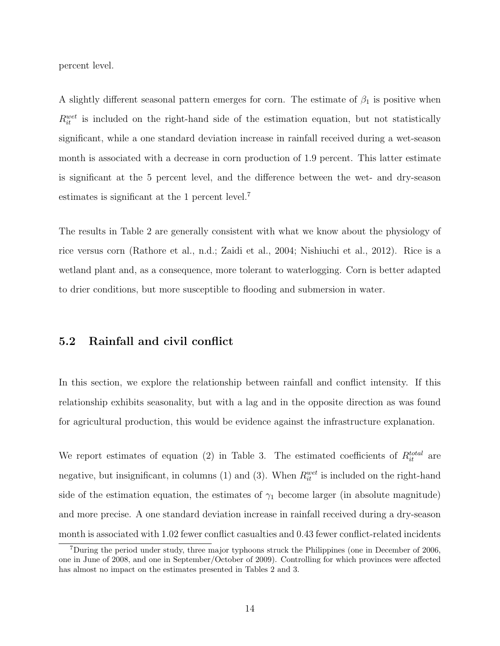percent level.

A slightly different seasonal pattern emerges for corn. The estimate of  $\beta_1$  is positive when  $R_{it}^{wet}$  is included on the right-hand side of the estimation equation, but not statistically significant, while a one standard deviation increase in rainfall received during a wet-season month is associated with a decrease in corn production of 1.9 percent. This latter estimate is significant at the 5 percent level, and the difference between the wet- and dry-season estimates is significant at the 1 percent level.<sup>7</sup>

The results in Table 2 are generally consistent with what we know about the physiology of rice versus corn (Rathore et al., n.d.; Zaidi et al., 2004; Nishiuchi et al., 2012). Rice is a wetland plant and, as a consequence, more tolerant to waterlogging. Corn is better adapted to drier conditions, but more susceptible to flooding and submersion in water.

#### 5.2 Rainfall and civil conflict

In this section, we explore the relationship between rainfall and conflict intensity. If this relationship exhibits seasonality, but with a lag and in the opposite direction as was found for agricultural production, this would be evidence against the infrastructure explanation.

We report estimates of equation (2) in Table 3. The estimated coefficients of  $R_{it}^{total}$  are negative, but insignificant, in columns (1) and (3). When  $R_{it}^{wet}$  is included on the right-hand side of the estimation equation, the estimates of  $\gamma_1$  become larger (in absolute magnitude) and more precise. A one standard deviation increase in rainfall received during a dry-season month is associated with 1.02 fewer conflict casualties and 0.43 fewer conflict-related incidents

<sup>7</sup>During the period under study, three major typhoons struck the Philippines (one in December of 2006, one in June of 2008, and one in September/October of 2009). Controlling for which provinces were affected has almost no impact on the estimates presented in Tables 2 and 3.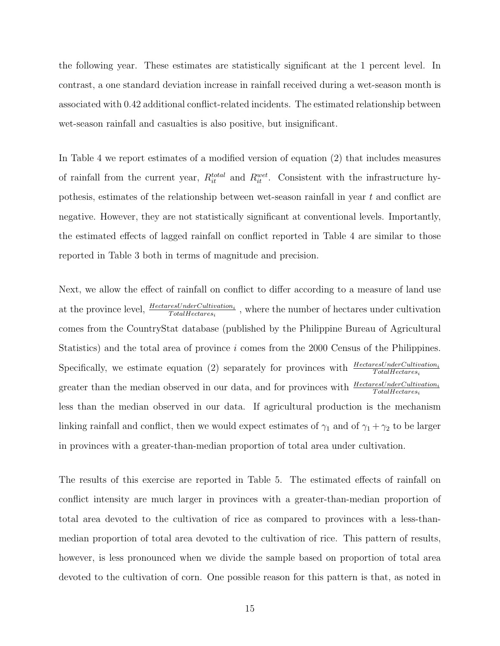the following year. These estimates are statistically significant at the 1 percent level. In contrast, a one standard deviation increase in rainfall received during a wet-season month is associated with 0.42 additional conflict-related incidents. The estimated relationship between wet-season rainfall and casualties is also positive, but insignificant.

In Table 4 we report estimates of a modified version of equation (2) that includes measures of rainfall from the current year,  $R_{it}^{total}$  and  $R_{it}^{wet}$ . Consistent with the infrastructure hypothesis, estimates of the relationship between wet-season rainfall in year t and conflict are negative. However, they are not statistically significant at conventional levels. Importantly, the estimated effects of lagged rainfall on conflict reported in Table 4 are similar to those reported in Table 3 both in terms of magnitude and precision.

Next, we allow the effect of rainfall on conflict to differ according to a measure of land use at the province level,  $\frac{HectaresUnderCultivation_{i}}{TotalHectares_{i}}$ , where the number of hectares under cultivation comes from the CountryStat database (published by the Philippine Bureau of Agricultural Statistics) and the total area of province i comes from the 2000 Census of the Philippines. Specifically, we estimate equation (2) separately for provinces with  $\frac{HectaresUnderCultivation_i}{TotalHectares_i}$ greater than the median observed in our data, and for provinces with  $\frac{HectaresUnderCultivation_{i}}{TotalHectares_{i}}$ less than the median observed in our data. If agricultural production is the mechanism linking rainfall and conflict, then we would expect estimates of  $\gamma_1$  and of  $\gamma_1 + \gamma_2$  to be larger in provinces with a greater-than-median proportion of total area under cultivation.

The results of this exercise are reported in Table 5. The estimated effects of rainfall on conflict intensity are much larger in provinces with a greater-than-median proportion of total area devoted to the cultivation of rice as compared to provinces with a less-thanmedian proportion of total area devoted to the cultivation of rice. This pattern of results, however, is less pronounced when we divide the sample based on proportion of total area devoted to the cultivation of corn. One possible reason for this pattern is that, as noted in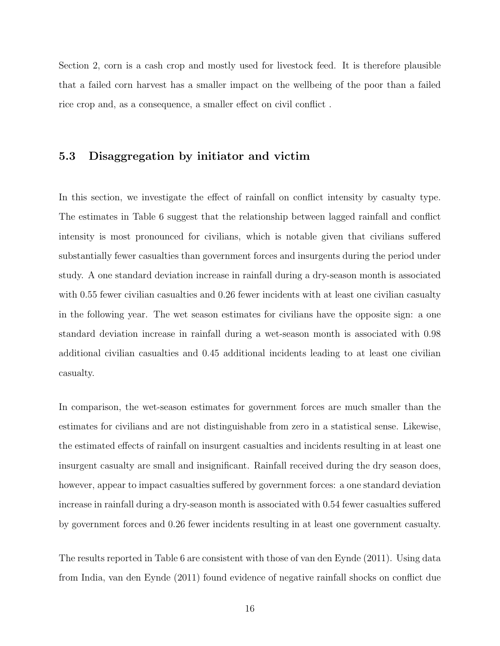Section 2, corn is a cash crop and mostly used for livestock feed. It is therefore plausible that a failed corn harvest has a smaller impact on the wellbeing of the poor than a failed rice crop and, as a consequence, a smaller effect on civil conflict .

#### 5.3 Disaggregation by initiator and victim

In this section, we investigate the effect of rainfall on conflict intensity by casualty type. The estimates in Table 6 suggest that the relationship between lagged rainfall and conflict intensity is most pronounced for civilians, which is notable given that civilians suffered substantially fewer casualties than government forces and insurgents during the period under study. A one standard deviation increase in rainfall during a dry-season month is associated with 0.55 fewer civilian casualties and 0.26 fewer incidents with at least one civilian casualty in the following year. The wet season estimates for civilians have the opposite sign: a one standard deviation increase in rainfall during a wet-season month is associated with 0.98 additional civilian casualties and 0.45 additional incidents leading to at least one civilian casualty.

In comparison, the wet-season estimates for government forces are much smaller than the estimates for civilians and are not distinguishable from zero in a statistical sense. Likewise, the estimated effects of rainfall on insurgent casualties and incidents resulting in at least one insurgent casualty are small and insignificant. Rainfall received during the dry season does, however, appear to impact casualties suffered by government forces: a one standard deviation increase in rainfall during a dry-season month is associated with 0.54 fewer casualties suffered by government forces and 0.26 fewer incidents resulting in at least one government casualty.

The results reported in Table 6 are consistent with those of van den Eynde (2011). Using data from India, van den Eynde (2011) found evidence of negative rainfall shocks on conflict due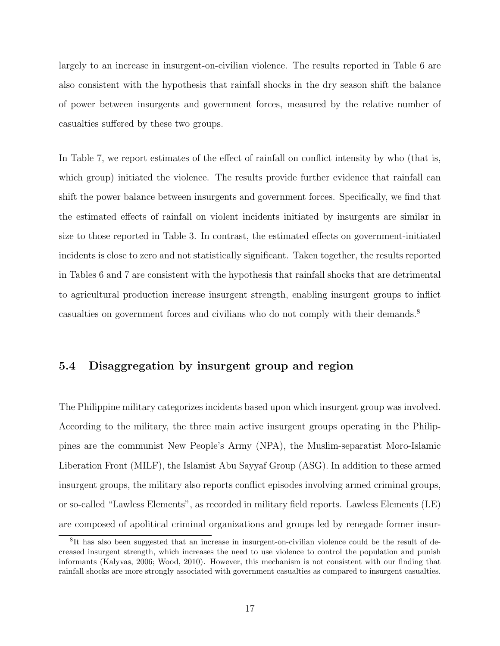largely to an increase in insurgent-on-civilian violence. The results reported in Table 6 are also consistent with the hypothesis that rainfall shocks in the dry season shift the balance of power between insurgents and government forces, measured by the relative number of casualties suffered by these two groups.

In Table 7, we report estimates of the effect of rainfall on conflict intensity by who (that is, which group) initiated the violence. The results provide further evidence that rainfall can shift the power balance between insurgents and government forces. Specifically, we find that the estimated effects of rainfall on violent incidents initiated by insurgents are similar in size to those reported in Table 3. In contrast, the estimated effects on government-initiated incidents is close to zero and not statistically significant. Taken together, the results reported in Tables 6 and 7 are consistent with the hypothesis that rainfall shocks that are detrimental to agricultural production increase insurgent strength, enabling insurgent groups to inflict casualties on government forces and civilians who do not comply with their demands.<sup>8</sup>

#### 5.4 Disaggregation by insurgent group and region

The Philippine military categorizes incidents based upon which insurgent group was involved. According to the military, the three main active insurgent groups operating in the Philippines are the communist New People's Army (NPA), the Muslim-separatist Moro-Islamic Liberation Front (MILF), the Islamist Abu Sayyaf Group (ASG). In addition to these armed insurgent groups, the military also reports conflict episodes involving armed criminal groups, or so-called "Lawless Elements", as recorded in military field reports. Lawless Elements (LE) are composed of apolitical criminal organizations and groups led by renegade former insur-

<sup>&</sup>lt;sup>8</sup>It has also been suggested that an increase in insurgent-on-civilian violence could be the result of decreased insurgent strength, which increases the need to use violence to control the population and punish informants (Kalyvas, 2006; Wood, 2010). However, this mechanism is not consistent with our finding that rainfall shocks are more strongly associated with government casualties as compared to insurgent casualties.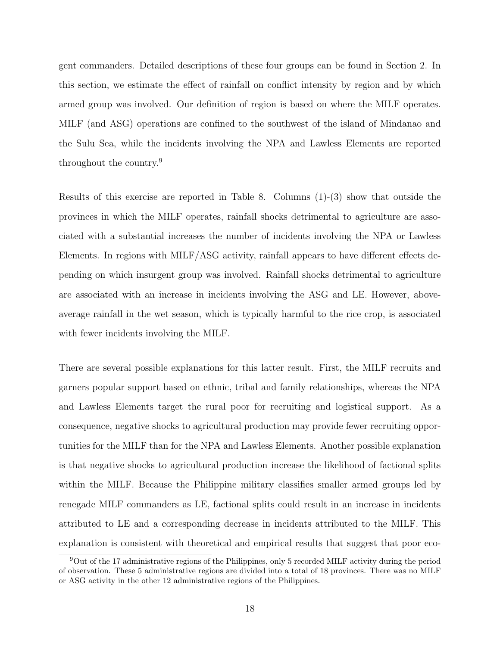gent commanders. Detailed descriptions of these four groups can be found in Section 2. In this section, we estimate the effect of rainfall on conflict intensity by region and by which armed group was involved. Our definition of region is based on where the MILF operates. MILF (and ASG) operations are confined to the southwest of the island of Mindanao and the Sulu Sea, while the incidents involving the NPA and Lawless Elements are reported throughout the country.<sup>9</sup>

Results of this exercise are reported in Table 8. Columns (1)-(3) show that outside the provinces in which the MILF operates, rainfall shocks detrimental to agriculture are associated with a substantial increases the number of incidents involving the NPA or Lawless Elements. In regions with MILF/ASG activity, rainfall appears to have different effects depending on which insurgent group was involved. Rainfall shocks detrimental to agriculture are associated with an increase in incidents involving the ASG and LE. However, aboveaverage rainfall in the wet season, which is typically harmful to the rice crop, is associated with fewer incidents involving the MILF.

There are several possible explanations for this latter result. First, the MILF recruits and garners popular support based on ethnic, tribal and family relationships, whereas the NPA and Lawless Elements target the rural poor for recruiting and logistical support. As a consequence, negative shocks to agricultural production may provide fewer recruiting opportunities for the MILF than for the NPA and Lawless Elements. Another possible explanation is that negative shocks to agricultural production increase the likelihood of factional splits within the MILF. Because the Philippine military classifies smaller armed groups led by renegade MILF commanders as LE, factional splits could result in an increase in incidents attributed to LE and a corresponding decrease in incidents attributed to the MILF. This explanation is consistent with theoretical and empirical results that suggest that poor eco-

<sup>9</sup>Out of the 17 administrative regions of the Philippines, only 5 recorded MILF activity during the period of observation. These 5 administrative regions are divided into a total of 18 provinces. There was no MILF or ASG activity in the other 12 administrative regions of the Philippines.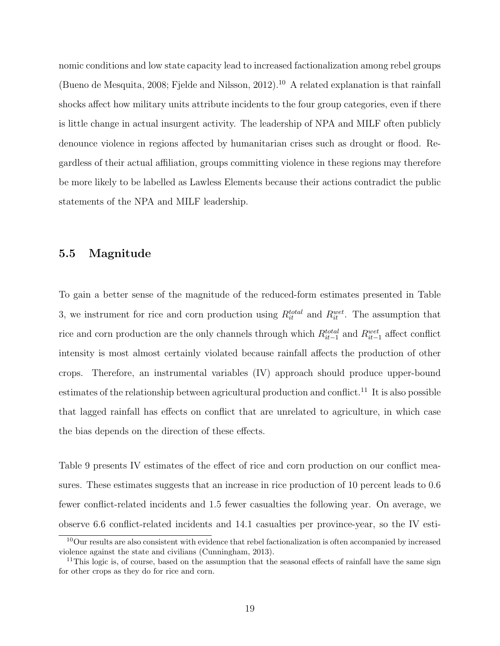nomic conditions and low state capacity lead to increased factionalization among rebel groups (Bueno de Mesquita, 2008; Fjelde and Nilsson, 2012).<sup>10</sup> A related explanation is that rainfall shocks affect how military units attribute incidents to the four group categories, even if there is little change in actual insurgent activity. The leadership of NPA and MILF often publicly denounce violence in regions affected by humanitarian crises such as drought or flood. Regardless of their actual affiliation, groups committing violence in these regions may therefore be more likely to be labelled as Lawless Elements because their actions contradict the public statements of the NPA and MILF leadership.

#### 5.5 Magnitude

To gain a better sense of the magnitude of the reduced-form estimates presented in Table 3, we instrument for rice and corn production using  $R_{it}^{total}$  and  $R_{it}^{wet}$ . The assumption that rice and corn production are the only channels through which  $R_{it-1}^{total}$  and  $R_{it-1}^{wet}$  affect conflict intensity is most almost certainly violated because rainfall affects the production of other crops. Therefore, an instrumental variables (IV) approach should produce upper-bound estimates of the relationship between agricultural production and conflict.<sup>11</sup> It is also possible that lagged rainfall has effects on conflict that are unrelated to agriculture, in which case the bias depends on the direction of these effects.

Table 9 presents IV estimates of the effect of rice and corn production on our conflict measures. These estimates suggests that an increase in rice production of 10 percent leads to 0.6 fewer conflict-related incidents and 1.5 fewer casualties the following year. On average, we observe 6.6 conflict-related incidents and 14.1 casualties per province-year, so the IV esti-

<sup>&</sup>lt;sup>10</sup>Our results are also consistent with evidence that rebel factionalization is often accompanied by increased violence against the state and civilians (Cunningham, 2013).

 $11$ This logic is, of course, based on the assumption that the seasonal effects of rainfall have the same sign for other crops as they do for rice and corn.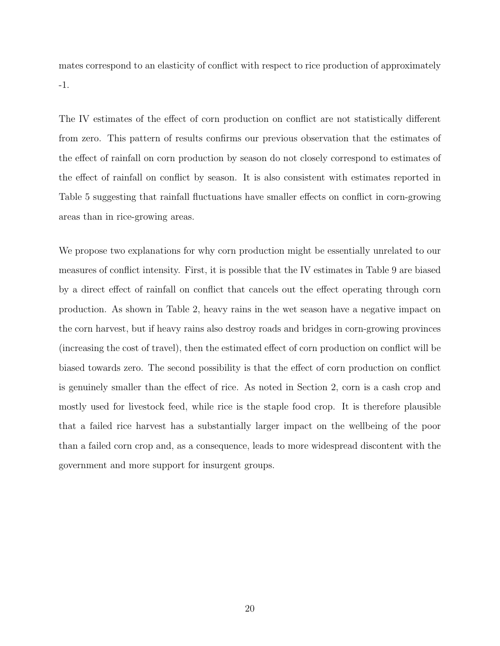mates correspond to an elasticity of conflict with respect to rice production of approximately -1.

The IV estimates of the effect of corn production on conflict are not statistically different from zero. This pattern of results confirms our previous observation that the estimates of the effect of rainfall on corn production by season do not closely correspond to estimates of the effect of rainfall on conflict by season. It is also consistent with estimates reported in Table 5 suggesting that rainfall fluctuations have smaller effects on conflict in corn-growing areas than in rice-growing areas.

We propose two explanations for why corn production might be essentially unrelated to our measures of conflict intensity. First, it is possible that the IV estimates in Table 9 are biased by a direct effect of rainfall on conflict that cancels out the effect operating through corn production. As shown in Table 2, heavy rains in the wet season have a negative impact on the corn harvest, but if heavy rains also destroy roads and bridges in corn-growing provinces (increasing the cost of travel), then the estimated effect of corn production on conflict will be biased towards zero. The second possibility is that the effect of corn production on conflict is genuinely smaller than the effect of rice. As noted in Section 2, corn is a cash crop and mostly used for livestock feed, while rice is the staple food crop. It is therefore plausible that a failed rice harvest has a substantially larger impact on the wellbeing of the poor than a failed corn crop and, as a consequence, leads to more widespread discontent with the government and more support for insurgent groups.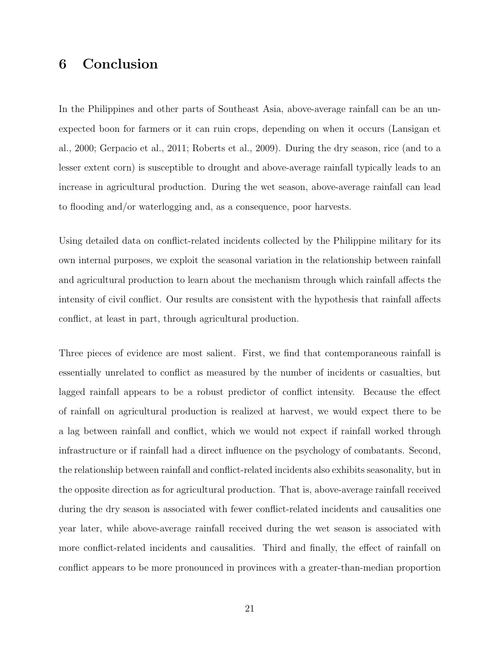# 6 Conclusion

In the Philippines and other parts of Southeast Asia, above-average rainfall can be an unexpected boon for farmers or it can ruin crops, depending on when it occurs (Lansigan et al., 2000; Gerpacio et al., 2011; Roberts et al., 2009). During the dry season, rice (and to a lesser extent corn) is susceptible to drought and above-average rainfall typically leads to an increase in agricultural production. During the wet season, above-average rainfall can lead to flooding and/or waterlogging and, as a consequence, poor harvests.

Using detailed data on conflict-related incidents collected by the Philippine military for its own internal purposes, we exploit the seasonal variation in the relationship between rainfall and agricultural production to learn about the mechanism through which rainfall affects the intensity of civil conflict. Our results are consistent with the hypothesis that rainfall affects conflict, at least in part, through agricultural production.

Three pieces of evidence are most salient. First, we find that contemporaneous rainfall is essentially unrelated to conflict as measured by the number of incidents or casualties, but lagged rainfall appears to be a robust predictor of conflict intensity. Because the effect of rainfall on agricultural production is realized at harvest, we would expect there to be a lag between rainfall and conflict, which we would not expect if rainfall worked through infrastructure or if rainfall had a direct influence on the psychology of combatants. Second, the relationship between rainfall and conflict-related incidents also exhibits seasonality, but in the opposite direction as for agricultural production. That is, above-average rainfall received during the dry season is associated with fewer conflict-related incidents and causalities one year later, while above-average rainfall received during the wet season is associated with more conflict-related incidents and causalities. Third and finally, the effect of rainfall on conflict appears to be more pronounced in provinces with a greater-than-median proportion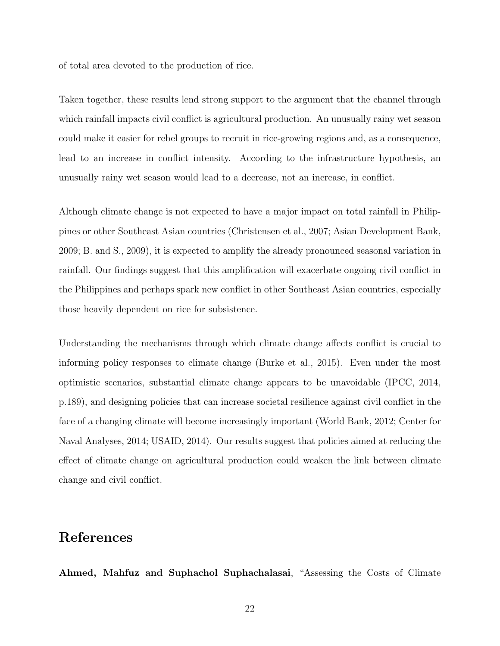of total area devoted to the production of rice.

Taken together, these results lend strong support to the argument that the channel through which rainfall impacts civil conflict is agricultural production. An unusually rainy wet season could make it easier for rebel groups to recruit in rice-growing regions and, as a consequence, lead to an increase in conflict intensity. According to the infrastructure hypothesis, an unusually rainy wet season would lead to a decrease, not an increase, in conflict.

Although climate change is not expected to have a major impact on total rainfall in Philippines or other Southeast Asian countries (Christensen et al., 2007; Asian Development Bank, 2009; B. and S., 2009), it is expected to amplify the already pronounced seasonal variation in rainfall. Our findings suggest that this amplification will exacerbate ongoing civil conflict in the Philippines and perhaps spark new conflict in other Southeast Asian countries, especially those heavily dependent on rice for subsistence.

Understanding the mechanisms through which climate change affects conflict is crucial to informing policy responses to climate change (Burke et al., 2015). Even under the most optimistic scenarios, substantial climate change appears to be unavoidable (IPCC, 2014, p.189), and designing policies that can increase societal resilience against civil conflict in the face of a changing climate will become increasingly important (World Bank, 2012; Center for Naval Analyses, 2014; USAID, 2014). Our results suggest that policies aimed at reducing the effect of climate change on agricultural production could weaken the link between climate change and civil conflict.

### References

Ahmed, Mahfuz and Suphachol Suphachalasai, "Assessing the Costs of Climate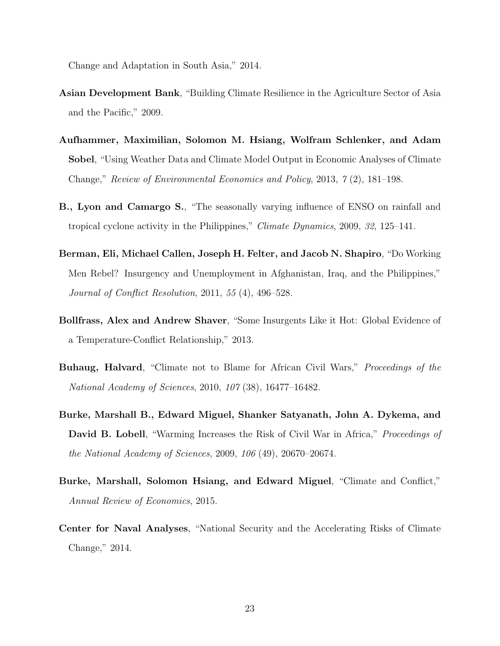Change and Adaptation in South Asia," 2014.

- Asian Development Bank, "Building Climate Resilience in the Agriculture Sector of Asia and the Pacific," 2009.
- Aufhammer, Maximilian, Solomon M. Hsiang, Wolfram Schlenker, and Adam Sobel, "Using Weather Data and Climate Model Output in Economic Analyses of Climate Change," Review of Environmental Economics and Policy, 2013, 7 (2), 181–198.
- B., Lyon and Camargo S., "The seasonally varying influence of ENSO on rainfall and tropical cyclone activity in the Philippines," Climate Dynamics, 2009, 32, 125–141.
- Berman, Eli, Michael Callen, Joseph H. Felter, and Jacob N. Shapiro, "Do Working Men Rebel? Insurgency and Unemployment in Afghanistan, Iraq, and the Philippines," Journal of Conflict Resolution, 2011, 55 (4), 496–528.
- Bollfrass, Alex and Andrew Shaver, "Some Insurgents Like it Hot: Global Evidence of a Temperature-Conflict Relationship," 2013.
- Buhaug, Halvard, "Climate not to Blame for African Civil Wars," Proceedings of the National Academy of Sciences, 2010, 107 (38), 16477–16482.
- Burke, Marshall B., Edward Miguel, Shanker Satyanath, John A. Dykema, and David B. Lobell, "Warming Increases the Risk of Civil War in Africa," *Proceedings of* the National Academy of Sciences, 2009, 106 (49), 20670–20674.
- Burke, Marshall, Solomon Hsiang, and Edward Miguel, "Climate and Conflict," Annual Review of Economics, 2015.
- Center for Naval Analyses, "National Security and the Accelerating Risks of Climate Change," 2014.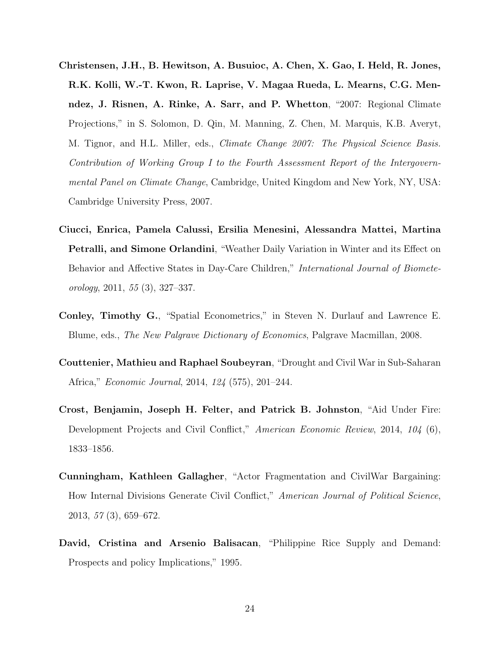- Christensen, J.H., B. Hewitson, A. Busuioc, A. Chen, X. Gao, I. Held, R. Jones, R.K. Kolli, W.-T. Kwon, R. Laprise, V. Magaa Rueda, L. Mearns, C.G. Menndez, J. Risnen, A. Rinke, A. Sarr, and P. Whetton, "2007: Regional Climate Projections," in S. Solomon, D. Qin, M. Manning, Z. Chen, M. Marquis, K.B. Averyt, M. Tignor, and H.L. Miller, eds., *Climate Change 2007: The Physical Science Basis.* Contribution of Working Group I to the Fourth Assessment Report of the Intergovernmental Panel on Climate Change, Cambridge, United Kingdom and New York, NY, USA: Cambridge University Press, 2007.
- Ciucci, Enrica, Pamela Calussi, Ersilia Menesini, Alessandra Mattei, Martina Petralli, and Simone Orlandini, "Weather Daily Variation in Winter and its Effect on Behavior and Affective States in Day-Care Children," *International Journal of Biomete*orology, 2011, 55 (3), 327–337.
- Conley, Timothy G., "Spatial Econometrics," in Steven N. Durlauf and Lawrence E. Blume, eds., The New Palgrave Dictionary of Economics, Palgrave Macmillan, 2008.
- Couttenier, Mathieu and Raphael Soubeyran, "Drought and Civil War in Sub-Saharan Africa," Economic Journal, 2014, 124 (575), 201–244.
- Crost, Benjamin, Joseph H. Felter, and Patrick B. Johnston, "Aid Under Fire: Development Projects and Civil Conflict," American Economic Review, 2014, 104 (6), 1833–1856.
- Cunningham, Kathleen Gallagher, "Actor Fragmentation and CivilWar Bargaining: How Internal Divisions Generate Civil Conflict," American Journal of Political Science, 2013, 57 (3), 659–672.
- David, Cristina and Arsenio Balisacan, "Philippine Rice Supply and Demand: Prospects and policy Implications," 1995.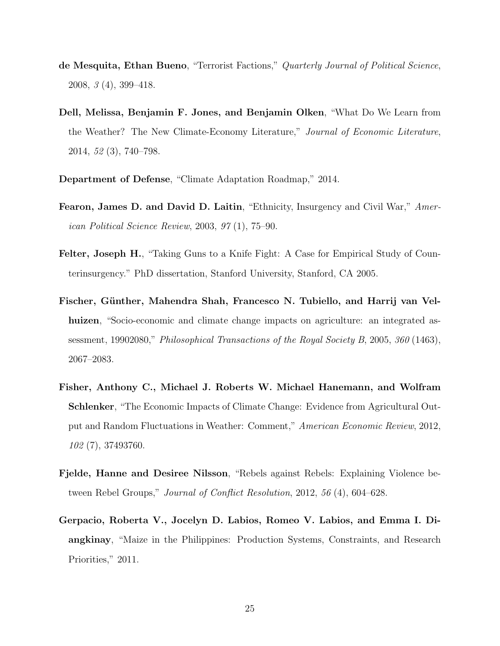- de Mesquita, Ethan Bueno, "Terrorist Factions," Quarterly Journal of Political Science, 2008, 3 (4), 399–418.
- Dell, Melissa, Benjamin F. Jones, and Benjamin Olken, "What Do We Learn from the Weather? The New Climate-Economy Literature," Journal of Economic Literature, 2014, 52 (3), 740–798.
- Department of Defense, "Climate Adaptation Roadmap," 2014.
- Fearon, James D. and David D. Laitin, "Ethnicity, Insurgency and Civil War," American Political Science Review, 2003, 97 (1), 75–90.
- Felter, Joseph H., "Taking Guns to a Knife Fight: A Case for Empirical Study of Counterinsurgency." PhD dissertation, Stanford University, Stanford, CA 2005.
- Fischer, Günther, Mahendra Shah, Francesco N. Tubiello, and Harrij van Velhuizen, "Socio-economic and climate change impacts on agriculture: an integrated assessment, 19902080," Philosophical Transactions of the Royal Society B, 2005, 360 (1463), 2067–2083.
- Fisher, Anthony C., Michael J. Roberts W. Michael Hanemann, and Wolfram Schlenker, "The Economic Impacts of Climate Change: Evidence from Agricultural Output and Random Fluctuations in Weather: Comment," American Economic Review, 2012, 102 (7), 37493760.
- Fjelde, Hanne and Desiree Nilsson, "Rebels against Rebels: Explaining Violence between Rebel Groups," *Journal of Conflict Resolution*, 2012, 56 (4), 604–628.
- Gerpacio, Roberta V., Jocelyn D. Labios, Romeo V. Labios, and Emma I. Diangkinay, "Maize in the Philippines: Production Systems, Constraints, and Research Priorities," 2011.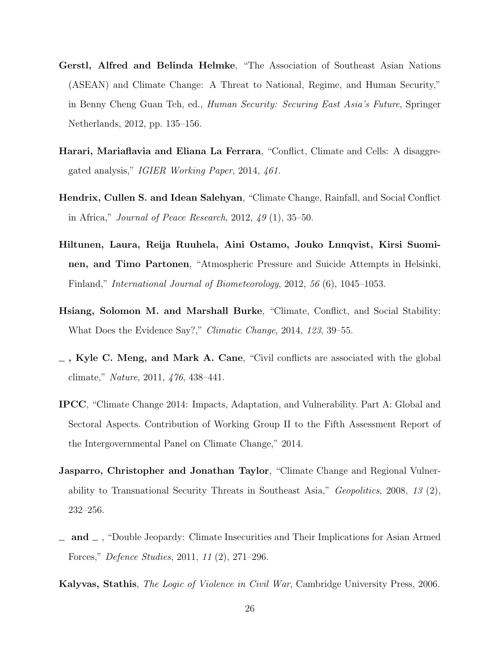- Gerstl, Alfred and Belinda Helmke, "The Association of Southeast Asian Nations (ASEAN) and Climate Change: A Threat to National, Regime, and Human Security," in Benny Cheng Guan Teh, ed., Human Security: Securing East Asia's Future, Springer Netherlands, 2012, pp. 135–156.
- Harari, Mariaflavia and Eliana La Ferrara, "Conflict, Climate and Cells: A disaggregated analysis," IGIER Working Paper, 2014, 461.
- Hendrix, Cullen S. and Idean Salehyan, "Climate Change, Rainfall, and Social Conflict in Africa," Journal of Peace Research, 2012, 49 (1), 35–50.
- Hiltunen, Laura, Reija Ruuhela, Aini Ostamo, Jouko Lnnqvist, Kirsi Suominen, and Timo Partonen, "Atmospheric Pressure and Suicide Attempts in Helsinki, Finland," International Journal of Biometeorology, 2012, 56 (6), 1045–1053.
- Hsiang, Solomon M. and Marshall Burke, "Climate, Conflict, and Social Stability: What Does the Evidence Say?," Climatic Change, 2014, 123, 39–55.
- $\overline{\phantom{a}}$ , Kyle C. Meng, and Mark A. Cane, "Civil conflicts are associated with the global climate," Nature, 2011, 476, 438–441.
- IPCC, "Climate Change 2014: Impacts, Adaptation, and Vulnerability. Part A: Global and Sectoral Aspects. Contribution of Working Group II to the Fifth Assessment Report of the Intergovernmental Panel on Climate Change," 2014.
- Jasparro, Christopher and Jonathan Taylor, "Climate Change and Regional Vulnerability to Transnational Security Threats in Southeast Asia," Geopolitics, 2008, 13  $(2)$ , 232–256.
- $\Box$  and  $\Box$ , "Double Jeopardy: Climate Insecurities and Their Implications for Asian Armed Forces," Defence Studies, 2011, 11 (2), 271–296.

Kalyvas, Stathis, The Logic of Violence in Civil War, Cambridge University Press, 2006.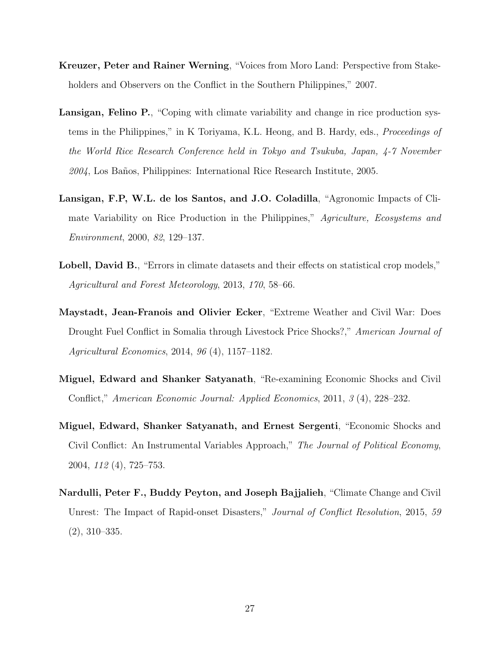- Kreuzer, Peter and Rainer Werning, "Voices from Moro Land: Perspective from Stakeholders and Observers on the Conflict in the Southern Philippines," 2007.
- Lansigan, Felino P., "Coping with climate variability and change in rice production systems in the Philippines," in K Toriyama, K.L. Heong, and B. Hardy, eds., Proceedings of the World Rice Research Conference held in Tokyo and Tsukuba, Japan, 4-7 November 2004, Los Baños, Philippines: International Rice Research Institute, 2005.
- Lansigan, F.P, W.L. de los Santos, and J.O. Coladilla, "Agronomic Impacts of Climate Variability on Rice Production in the Philippines," Agriculture, Ecosystems and Environment, 2000, 82, 129–137.
- Lobell, David B., "Errors in climate datasets and their effects on statistical crop models," Agricultural and Forest Meteorology, 2013, 170, 58–66.
- Maystadt, Jean-Franois and Olivier Ecker, "Extreme Weather and Civil War: Does Drought Fuel Conflict in Somalia through Livestock Price Shocks?," American Journal of Agricultural Economics, 2014, 96 (4), 1157–1182.
- Miguel, Edward and Shanker Satyanath, "Re-examining Economic Shocks and Civil Conflict," American Economic Journal: Applied Economics, 2011, 3 (4), 228–232.
- Miguel, Edward, Shanker Satyanath, and Ernest Sergenti, "Economic Shocks and Civil Conflict: An Instrumental Variables Approach," The Journal of Political Economy, 2004, 112 (4), 725–753.
- Nardulli, Peter F., Buddy Peyton, and Joseph Bajjalieh, "Climate Change and Civil Unrest: The Impact of Rapid-onset Disasters," Journal of Conflict Resolution, 2015, 59 (2), 310–335.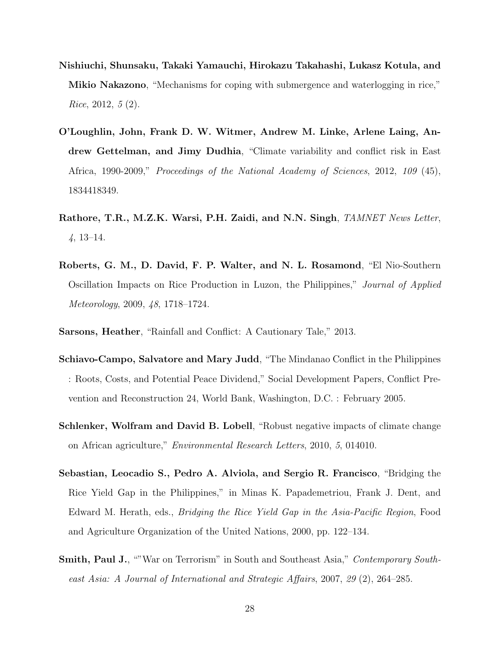- Nishiuchi, Shunsaku, Takaki Yamauchi, Hirokazu Takahashi, Lukasz Kotula, and Mikio Nakazono, "Mechanisms for coping with submergence and waterlogging in rice," Rice, 2012,  $5(2)$ .
- O'Loughlin, John, Frank D. W. Witmer, Andrew M. Linke, Arlene Laing, Andrew Gettelman, and Jimy Dudhia, "Climate variability and conflict risk in East Africa, 1990-2009," Proceedings of the National Academy of Sciences, 2012, 109 (45), 1834418349.
- Rathore, T.R., M.Z.K. Warsi, P.H. Zaidi, and N.N. Singh, TAMNET News Letter, 4, 13–14.
- Roberts, G. M., D. David, F. P. Walter, and N. L. Rosamond, "El Nio-Southern Oscillation Impacts on Rice Production in Luzon, the Philippines," Journal of Applied Meteorology, 2009, 48, 1718–1724.
- Sarsons, Heather, "Rainfall and Conflict: A Cautionary Tale," 2013.
- Schiavo-Campo, Salvatore and Mary Judd, "The Mindanao Conflict in the Philippines : Roots, Costs, and Potential Peace Dividend," Social Development Papers, Conflict Prevention and Reconstruction 24, World Bank, Washington, D.C. : February 2005.
- Schlenker, Wolfram and David B. Lobell, "Robust negative impacts of climate change on African agriculture," Environmental Research Letters, 2010, 5, 014010.
- Sebastian, Leocadio S., Pedro A. Alviola, and Sergio R. Francisco, "Bridging the Rice Yield Gap in the Philippines," in Minas K. Papademetriou, Frank J. Dent, and Edward M. Herath, eds., Bridging the Rice Yield Gap in the Asia-Pacific Region, Food and Agriculture Organization of the United Nations, 2000, pp. 122–134.
- Smith, Paul J., ""War on Terrorism" in South and Southeast Asia," Contemporary Southeast Asia: A Journal of International and Strategic Affairs, 2007, 29 (2), 264–285.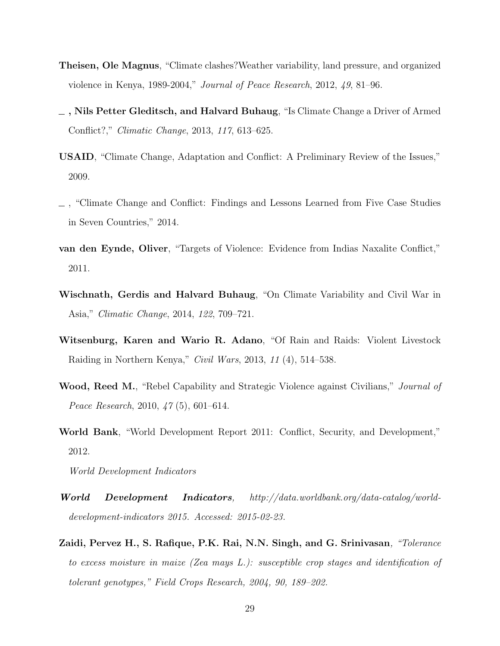- Theisen, Ole Magnus, "Climate clashes?Weather variability, land pressure, and organized violence in Kenya, 1989-2004," Journal of Peace Research, 2012, 49, 81–96.
- , Nils Petter Gleditsch, and Halvard Buhaug, "Is Climate Change a Driver of Armed Conflict?," Climatic Change, 2013, 117, 613–625.
- USAID, "Climate Change, Adaptation and Conflict: A Preliminary Review of the Issues," 2009.
- , "Climate Change and Conflict: Findings and Lessons Learned from Five Case Studies in Seven Countries," 2014.
- van den Eynde, Oliver, "Targets of Violence: Evidence from Indias Naxalite Conflict," 2011.
- Wischnath, Gerdis and Halvard Buhaug, "On Climate Variability and Civil War in Asia," Climatic Change, 2014, 122, 709–721.
- Witsenburg, Karen and Wario R. Adano, "Of Rain and Raids: Violent Livestock Raiding in Northern Kenya," Civil Wars, 2013, 11 (4), 514–538.
- Wood, Reed M., "Rebel Capability and Strategic Violence against Civilians," *Journal of* Peace Research, 2010, 47 (5), 601–614.
- World Bank, "World Development Report 2011: Conflict, Security, and Development," 2012.

World Development Indicators

- World Development Indicators, http://data.worldbank.org/data-catalog/worlddevelopment-indicators 2015. Accessed: 2015-02-23.
- Zaidi, Pervez H., S. Rafique, P.K. Rai, N.N. Singh, and G. Srinivasan, "Tolerance to excess moisture in maize (Zea mays L.): susceptible crop stages and identification of tolerant genotypes," Field Crops Research, 2004, 90, 189–202.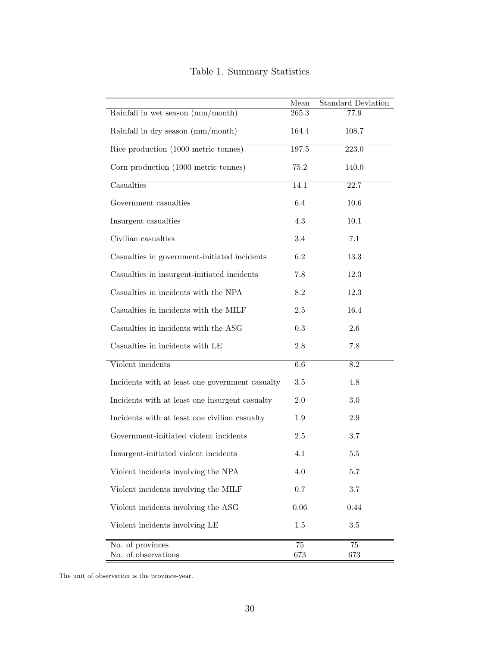|                                                 | Mean          | <b>Standard Deviation</b> |
|-------------------------------------------------|---------------|---------------------------|
| Rainfall in wet season (mm/month)               | 265.3         | $77.9\,$                  |
| Rainfall in dry season (mm/month)               | 164.4         | 108.7                     |
| Rice production (1000 metric tonnes)            | 197.5         | 223.0                     |
| Corn production (1000 metric tonnes)            | 75.2          | 140.0                     |
| Casualties                                      | 14.1          | 22.7                      |
| Government casualties                           | 6.4           | 10.6                      |
| Insurgent casualties                            | $4.3\,$       | 10.1                      |
| Civilian casualties                             | $3.4\,$       | 7.1                       |
| Casualties in government-initiated incidents    | 6.2           | 13.3                      |
| Casualties in insurgent-initiated incidents     | 7.8           | 12.3                      |
| Casualties in incidents with the NPA            | 8.2           | 12.3                      |
| Casualties in incidents with the MILF           | $2.5\,$       | 16.4                      |
| Casualties in incidents with the ASG            | $\rm 0.3$     | 2.6                       |
| Casualties in incidents with LE                 | $2.8\,$       | $7.8\,$                   |
| Violent incidents                               | 6.6           | $\overline{8.2}$          |
| Incidents with at least one government casualty | $3.5\,$       | 4.8                       |
| Incidents with at least one insurgent casualty  | 2.0           | 3.0                       |
| Incidents with at least one civilian casualty   | 1.9           | 2.9                       |
| Government-initiated violent incidents          | $2.5\,$       | 3.7                       |
| Insurgent-initiated violent incidents           | 4.1           | $5.5\,$                   |
| Violent incidents involving the NPA             | 4.0           | 5.7                       |
| Violent incidents involving the MILF            | $0.7\,$       | 3.7                       |
| Violent incidents involving the ASG             | $0.06\,$      | 0.44                      |
| Violent incidents involving LE                  | 1.5           | 3.5                       |
| No. of provinces<br>No. of observations         | $75\,$<br>673 | 75<br>673                 |

### Table 1. Summary Statistics

The unit of observation is the province-year.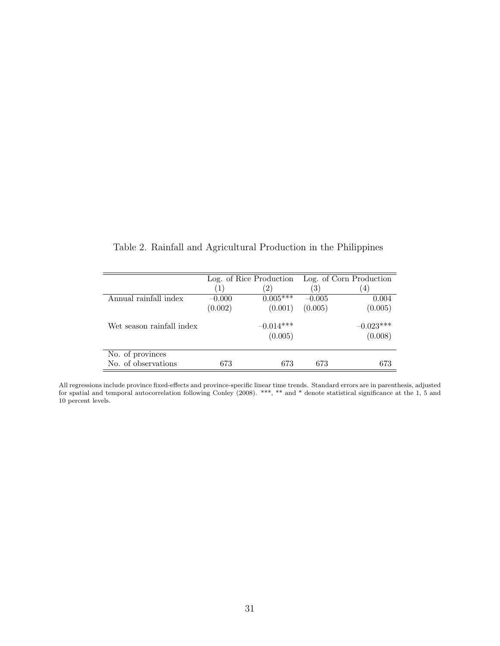|                           |          | Log. of Rice Production |                  | Log. of Corn Production |
|---------------------------|----------|-------------------------|------------------|-------------------------|
|                           |          | 2)                      | $\left(3\right)$ | $4^{\circ}$             |
| Annual rainfall index     | $-0.000$ | $0.005***$              | $-0.005$         | 0.004                   |
|                           | (0.002)  | (0.001)                 | (0.005)          | (0.005)                 |
| Wet season rainfall index |          | $-0.014***$             |                  | $-0.023***$             |
|                           |          | (0.005)                 |                  | (0.008)                 |
| No. of provinces          |          |                         |                  |                         |
| No. of observations       | 673      | 673                     | 673              | 673                     |

Table 2. Rainfall and Agricultural Production in the Philippines

All regressions include province fixed-effects and province-specific linear time trends. Standard errors are in parenthesis, adjusted for spatial and temporal autocorrelation following Conley (2008). \*\*\*, \*\* and \* denote statistical significance at the 1, 5 and 10 percent levels.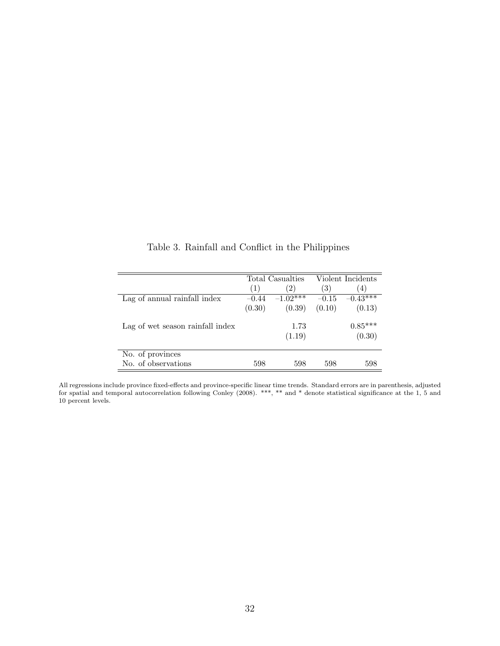|                                  |         | Total Casualties |                  | Violent Incidents   |
|----------------------------------|---------|------------------|------------------|---------------------|
|                                  | (1)     | 2)               | $\left(3\right)$ | $\overline{4}$      |
| Lag of annual rainfall index     | $-0.44$ | $-1.02***$       | $-0.15$          | $-0.43***$          |
|                                  | (0.30)  | (0.39)           | (0.10)           | (0.13)              |
| Lag of wet season rainfall index |         | 1.73<br>(1.19)   |                  | $0.85***$<br>(0.30) |
|                                  |         |                  |                  |                     |
| No. of provinces                 |         |                  |                  |                     |
| No. of observations              | 598     | 598              | 598              | 598                 |

Table 3. Rainfall and Conflict in the Philippines

All regressions include province fixed-effects and province-specific linear time trends. Standard errors are in parenthesis, adjusted for spatial and temporal autocorrelation following Conley (2008). \*\*\*, \*\* and \* denote statistical significance at the 1, 5 and 10 percent levels.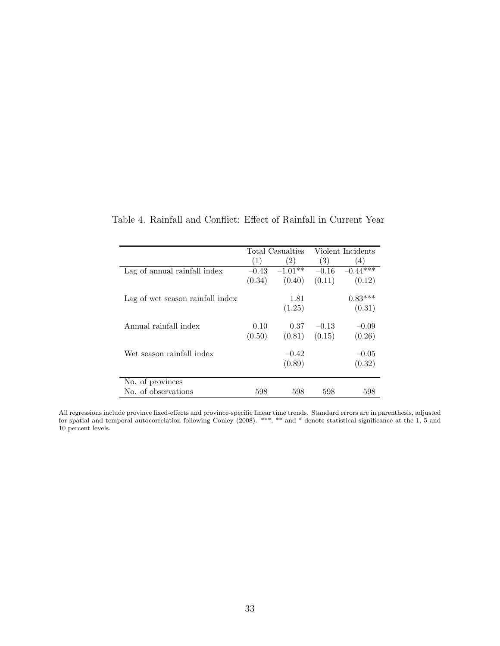|                                  |         | Total Casualties  |         | Violent Incidents |
|----------------------------------|---------|-------------------|---------|-------------------|
|                                  | (1)     | $\left( 2\right)$ | (3)     | (4)               |
| Lag of annual rainfall index     | $-0.43$ | $-1.01**$         | $-0.16$ | $-0.44***$        |
|                                  | (0.34)  | (0.40)            | (0.11)  | (0.12)            |
| Lag of wet season rainfall index |         | 1.81              |         | $0.83***$         |
|                                  |         | (1.25)            |         | (0.31)            |
| Annual rainfall index            | 0.10    | 0.37              | $-0.13$ | $-0.09$           |
|                                  | (0.50)  | (0.81)            | (0.15)  | (0.26)            |
| Wet season rainfall index        |         | $-0.42$           |         | $-0.05$           |
|                                  |         | (0.89)            |         | (0.32)            |
| No. of provinces                 |         |                   |         |                   |
| No. of observations              | 598     | 598               | 598     | 598               |

Table 4. Rainfall and Conflict: Effect of Rainfall in Current Year

All regressions include province fixed-effects and province-specific linear time trends. Standard errors are in parenthesis, adjusted for spatial and temporal autocorrelation following Conley (2008). \*\*\*, \*\* and \* denote statistical significance at the 1, 5 and 10 percent levels.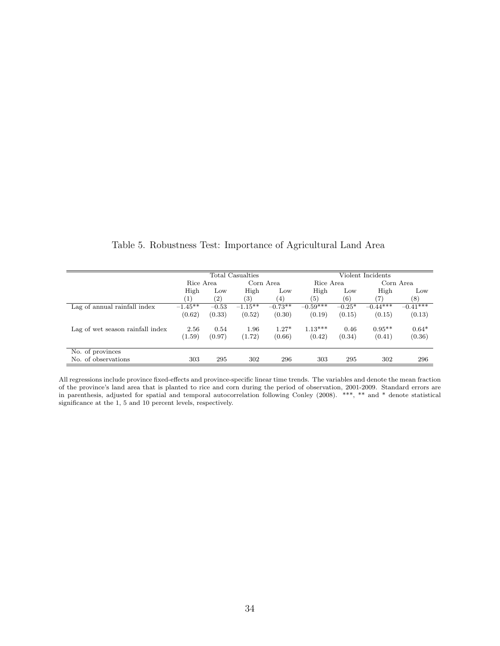|                                  |           |         | Total Casualties |           |            |          | Violent Incidents |                  |
|----------------------------------|-----------|---------|------------------|-----------|------------|----------|-------------------|------------------|
|                                  | Rice Area |         |                  | Corn Area | Rice Area  |          |                   | Corn Area        |
|                                  | High      | Low     | High             | Low       | High       | Low      | High              | Low              |
|                                  | (1)       | (2)     | (3)              | (4)       | (5)        | (6)      | (7)               | $\left(8\right)$ |
| Lag of annual rainfall index     | $-1.45**$ | $-0.53$ | $-1.15**$        | $-0.73**$ | $-0.59***$ | $-0.25*$ | $-0.44***$        | $-0.41***$       |
|                                  | (0.62)    | (0.33)  | (0.52)           | (0.30)    | (0.19)     | (0.15)   | (0.15)            | (0.13)           |
| Lag of wet season rainfall index | 2.56      | 0.54    | 1.96             | $1.27*$   | $1.13***$  | 0.46     | $0.95**$          | $0.64*$          |
|                                  | (1.59)    | (0.97)  | (1.72)           | (0.66)    | (0.42)     | (0.34)   | (0.41)            | (0.36)           |
| No. of provinces                 |           |         |                  |           |            |          |                   |                  |
| No. of observations              | 303       | 295     | 302              | 296       | 303        | 295      | 302               | 296              |

All regressions include province fixed-effects and province-specific linear time trends. The variables and denote the mean fraction of the province's land area that is planted to rice and corn during the period of observation, 2001-2009. Standard errors are in parenthesis, adjusted for spatial and temporal autocorrelation following Conley (2008). \*\*\*, \*\* and \* denote statistical significance at the 1, 5 and 10 percent levels, respectively.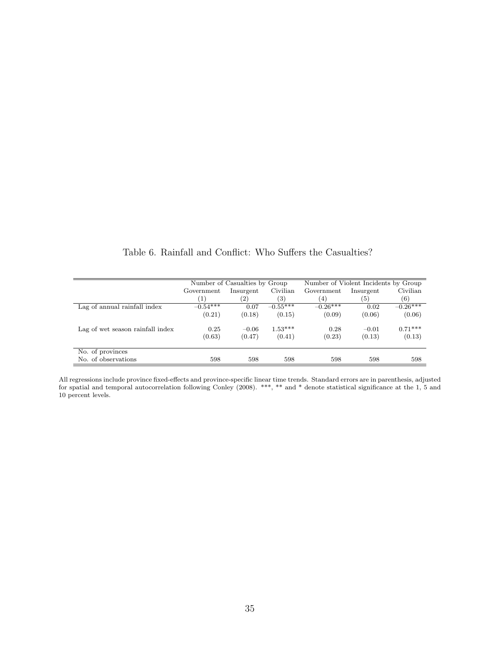|                                  |                   | Number of Casualties by Group |                   | Number of Violent Incidents by Group |           |            |  |
|----------------------------------|-------------------|-------------------------------|-------------------|--------------------------------------|-----------|------------|--|
|                                  | Government        | Insurgent                     | Civilian          | Government                           | Insurgent | Civilian   |  |
|                                  | $\left( 1\right)$ | $\left( 2\right)$             | $\left( 3\right)$ | (4)                                  | (5)       | (6)        |  |
| Lag of annual rainfall index     | $-0.54***$        | 0.07                          | $-0.55***$        | $-0.26***$                           | 0.02      | $-0.26***$ |  |
|                                  | (0.21)            | (0.18)                        | (0.15)            | (0.09)                               | (0.06)    | (0.06)     |  |
| Lag of wet season rainfall index | 0.25              | $-0.06$                       | $1.53***$         | 0.28                                 | $-0.01$   | $0.71***$  |  |
|                                  | (0.63)            | (0.47)                        | (0.41)            | (0.23)                               | (0.13)    | (0.13)     |  |
| No. of provinces                 |                   |                               |                   |                                      |           |            |  |
| No. of observations              | 598               | 598                           | 598               | 598                                  | 598       | 598        |  |

Table 6. Rainfall and Conflict: Who Suffers the Casualties?

All regressions include province fixed-effects and province-specific linear time trends. Standard errors are in parenthesis, adjusted for spatial and temporal autocorrelation following Conley (2008). \*\*\*, \*\* and \* denote statistical significance at the 1, 5 and 10 percent levels.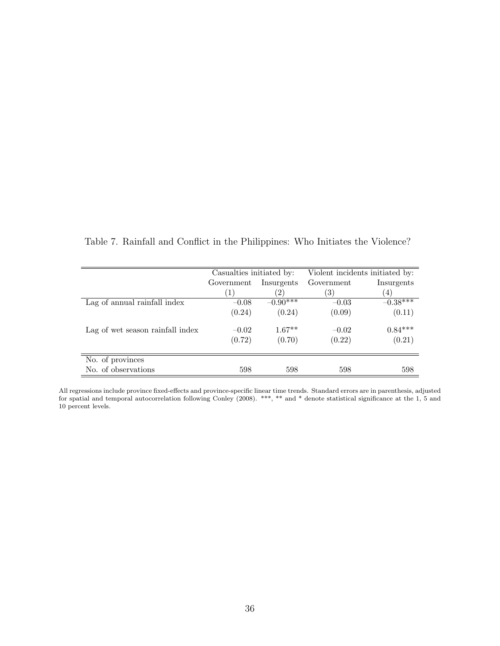|                                  | Casualties initiated by: |                          | Violent incidents initiated by: |            |  |
|----------------------------------|--------------------------|--------------------------|---------------------------------|------------|--|
|                                  | Government               | Insurgents<br>Government |                                 | Insurgents |  |
|                                  | $\left(1\right)$         | 2.                       | 3)                              | (4)        |  |
| Lag of annual rainfall index     | $-0.08$                  | $-0.90***$               | $-0.03$                         | $-0.38***$ |  |
|                                  | (0.24)                   | (0.24)                   | (0.09)                          | (0.11)     |  |
| Lag of wet season rainfall index | $-0.02$                  | $1.67**$                 | $-0.02$                         | $0.84***$  |  |
|                                  | (0.72)                   | (0.70)                   | (0.22)                          | (0.21)     |  |
| No. of provinces                 |                          |                          |                                 |            |  |
| No. of observations              | 598                      | 598                      | 598                             | 598        |  |

Table 7. Rainfall and Conflict in the Philippines: Who Initiates the Violence?

All regressions include province fixed-effects and province-specific linear time trends. Standard errors are in parenthesis, adjusted for spatial and temporal autocorrelation following Conley (2008). \*\*\*, \*\* and \* denote statistical significance at the 1, 5 and 10 percent levels.

 $\equiv$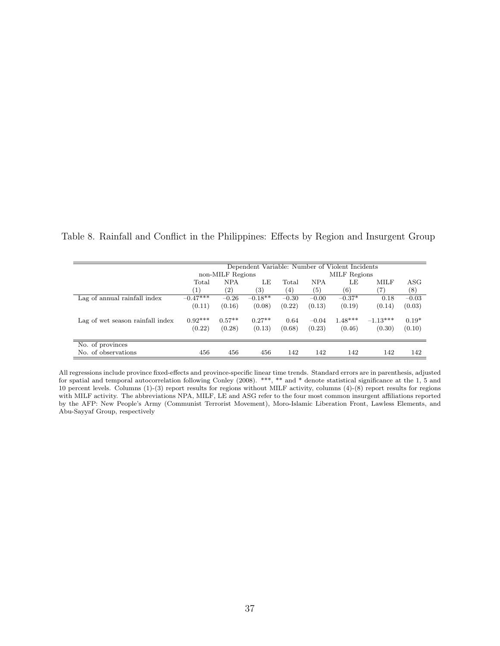Table 8. Rainfall and Conflict in the Philippines: Effects by Region and Insurgent Group

|                                  |                  | Dependent Variable: Number of Violent Incidents |           |         |            |              |            |            |
|----------------------------------|------------------|-------------------------------------------------|-----------|---------|------------|--------------|------------|------------|
|                                  |                  | non-MILF Regions                                |           |         |            | MILF Regions |            |            |
|                                  | Total            | <b>NPA</b>                                      | LE        | Total   | <b>NPA</b> | LE           | MILF       | $\rm{ASG}$ |
|                                  | $\left(1\right)$ | $\left( 2\right)$                               | (3)       | (4)     | (5)        | (6)          | 7)         | (8)        |
| Lag of annual rainfall index     | $-0.47***$       | $-0.26$                                         | $-0.18**$ | $-0.30$ | $-0.00$    | $-0.37*$     | 0.18       | $-0.03$    |
|                                  | (0.11)           | (0.16)                                          | (0.08)    | (0.22)  | (0.13)     | (0.19)       | (0.14)     | (0.03)     |
| Lag of wet season rainfall index | $0.92***$        | $0.57**$                                        | $0.27**$  | 0.64    | $-0.04$    | $1.48***$    | $-1.13***$ | $0.19*$    |
|                                  | (0.22)           | (0.28)                                          | (0.13)    | (0.68)  | (0.23)     | (0.46)       | (0.30)     | (0.10)     |
|                                  |                  |                                                 |           |         |            |              |            |            |
| No. of provinces                 |                  |                                                 |           |         |            |              |            |            |
| No. of observations              | 456              | 456                                             | 456       | 142     | 142        | 142          | 142        | 142        |

All regressions include province fixed-effects and province-specific linear time trends. Standard errors are in parenthesis, adjusted for spatial and temporal autocorrelation following Conley (2008). \*\*\*, \*\* and \* denote statistical significance at the 1, 5 and 10 percent levels. Columns (1)-(3) report results for regions without MILF activity, columns (4)-(8) report results for regions with MILF activity. The abbreviations NPA, MILF, LE and ASG refer to the four most common insurgent affiliations reported by the AFP: New People's Army (Communist Terrorist Movement), Moro-Islamic Liberation Front, Lawless Elements, and Abu-Sayyaf Group, respectively